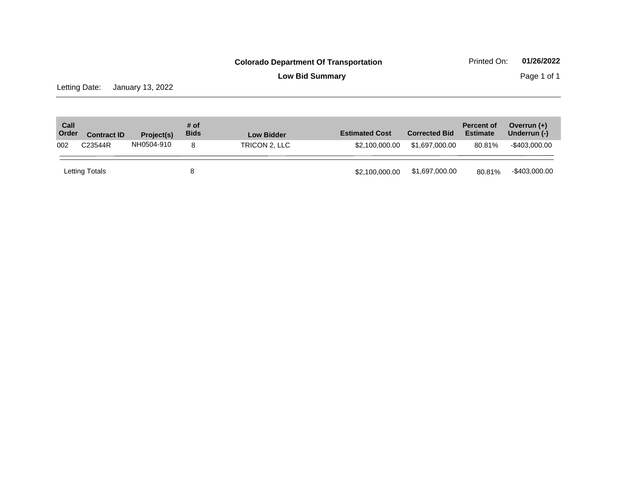**Low Bid Summary Page 1 of 1** 

Letting Date: January 13, 2022

| Call<br>Order | <b>Contract ID</b> | Project(s) | # of<br><b>Bids</b> | <b>Low Bidder</b> | <b>Estimated Cost</b> | <b>Corrected Bid</b> | <b>Percent of</b><br><b>Estimate</b> | Overrun $(+)$<br>Underrun (-) |
|---------------|--------------------|------------|---------------------|-------------------|-----------------------|----------------------|--------------------------------------|-------------------------------|
| 002           | C23544R            | NH0504-910 | 8                   | TRICON 2. LLC     | \$2,100,000.00        | \$1,697,000.00       | 80.81%                               | -\$403.000.00                 |
|               | Letting Totals     |            | 8                   |                   | \$2,100,000.00        | \$1,697,000.00       | 80.81%                               | -\$403,000.00                 |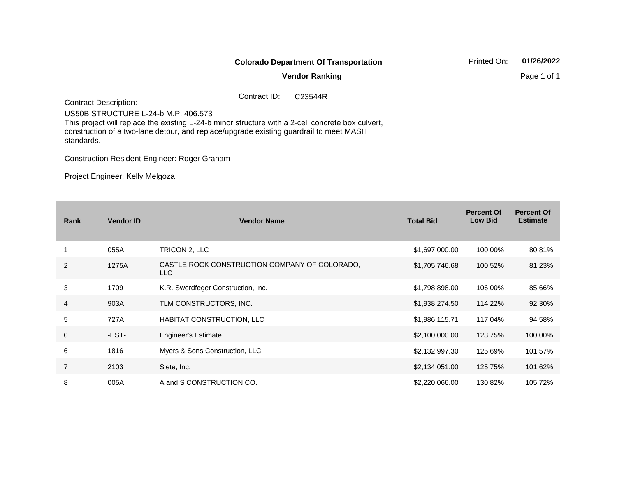|                                                                                                                                                                                                                                                                                  |              | <b>Colorado Department Of Transportation</b> | Printed On: | 01/26/2022  |
|----------------------------------------------------------------------------------------------------------------------------------------------------------------------------------------------------------------------------------------------------------------------------------|--------------|----------------------------------------------|-------------|-------------|
|                                                                                                                                                                                                                                                                                  |              | <b>Vendor Ranking</b>                        |             | Page 1 of 1 |
| <b>Contract Description:</b><br>US50B STRUCTURE L-24-b M.P. 406.573<br>This project will replace the existing L-24-b minor structure with a 2-cell concrete box culvert,<br>construction of a two-lane detour, and replace/upgrade existing guardrail to meet MASH<br>standards. | Contract ID: | C <sub>23544</sub> R                         |             |             |

Construction Resident Engineer: Roger Graham

Project Engineer: Kelly Melgoza

| Rank           | <b>Vendor ID</b> | <b>Vendor Name</b>                                    | <b>Total Bid</b> | <b>Percent Of</b><br><b>Low Bid</b> | <b>Percent Of</b><br><b>Estimate</b> |
|----------------|------------------|-------------------------------------------------------|------------------|-------------------------------------|--------------------------------------|
|                | 055A             | TRICON 2, LLC                                         | \$1,697,000.00   | 100.00%                             | 80.81%                               |
| 2              | 1275A            | CASTLE ROCK CONSTRUCTION COMPANY OF COLORADO,<br>LLC. | \$1,705,746.68   | 100.52%                             | 81.23%                               |
| 3              | 1709             | K.R. Swerdfeger Construction, Inc.                    | \$1,798,898.00   | 106.00%                             | 85.66%                               |
| $\overline{4}$ | 903A             | TLM CONSTRUCTORS, INC.                                | \$1,938,274.50   | 114.22%                             | 92.30%                               |
| 5              | 727A             | HABITAT CONSTRUCTION, LLC                             | \$1,986,115.71   | 117.04%                             | 94.58%                               |
| $\mathbf 0$    | -EST-            | <b>Engineer's Estimate</b>                            | \$2,100,000.00   | 123.75%                             | 100.00%                              |
| 6              | 1816             | Myers & Sons Construction, LLC                        | \$2,132,997.30   | 125.69%                             | 101.57%                              |
| $\overline{7}$ | 2103             | Siete, Inc.                                           | \$2,134,051.00   | 125.75%                             | 101.62%                              |
| 8              | 005A             | A and S CONSTRUCTION CO.                              | \$2,220,066.00   | 130.82%                             | 105.72%                              |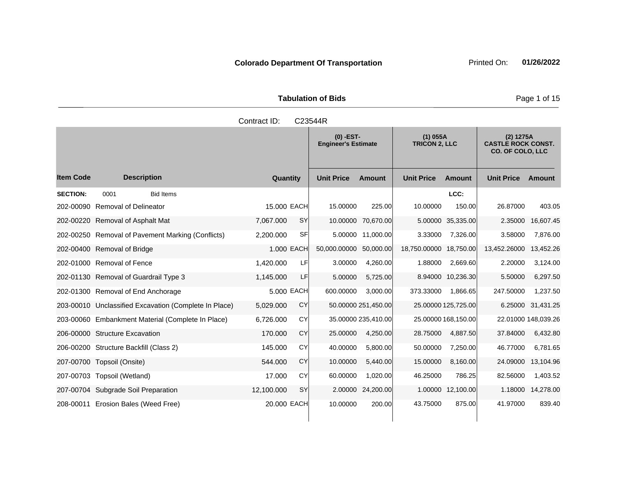Tabulation of Bids **Page 1 of 15** 

|                  |                                                       | Contract ID: |           | C23544R                                   |                     |                                    |                     |                                                                   |                     |
|------------------|-------------------------------------------------------|--------------|-----------|-------------------------------------------|---------------------|------------------------------------|---------------------|-------------------------------------------------------------------|---------------------|
|                  |                                                       |              |           | $(0)$ -EST-<br><b>Engineer's Estimate</b> |                     | $(1)$ 055A<br><b>TRICON 2. LLC</b> |                     | (2) 1275A<br><b>CASTLE ROCK CONST.</b><br><b>CO. OF COLO, LLC</b> |                     |
| <b>Item Code</b> | <b>Description</b>                                    | Quantity     |           | <b>Unit Price</b>                         | <b>Amount</b>       | <b>Unit Price</b>                  | <b>Amount</b>       | <b>Unit Price</b>                                                 | Amount              |
| <b>SECTION:</b>  | <b>Bid Items</b><br>0001                              |              |           |                                           |                     |                                    | LCC:                |                                                                   |                     |
|                  | 202-00090 Removal of Delineator                       | 15.000 EACH  |           | 15.00000                                  | 225.00              | 10.00000                           | 150.00              | 26.87000                                                          | 403.05              |
|                  | 202-00220 Removal of Asphalt Mat                      | 7,067.000    | <b>SY</b> |                                           | 10.00000 70,670.00  |                                    | 5.00000 35,335.00   | 2.35000                                                           | 16,607.45           |
|                  | 202-00250 Removal of Pavement Marking (Conflicts)     | 2,200.000    | SF        | 5.00000                                   | 11,000.00           | 3.33000                            | 7,326.00            | 3.58000                                                           | 7,876.00            |
|                  | 202-00400 Removal of Bridge                           | 1.000 EACH   |           | 50,000.00000                              | 50,000.00           | 18,750.00000                       | 18,750.00           | 13,452.26000                                                      | 13,452.26           |
|                  | 202-01000 Removal of Fence                            | 1,420.000    | <b>LF</b> | 3.00000                                   | 4,260.00            | 1.88000                            | 2,669.60            | 2.20000                                                           | 3,124.00            |
|                  | 202-01130 Removal of Guardrail Type 3                 | 1,145.000    | LF.       | 5.00000                                   | 5,725.00            |                                    | 8.94000 10,236.30   | 5.50000                                                           | 6,297.50            |
|                  | 202-01300 Removal of End Anchorage                    | 5,000 EACH   |           | 600.00000                                 | 3,000.00            | 373.33000                          | 1,866.65            | 247.50000                                                         | 1,237.50            |
|                  | 203-00010 Unclassified Excavation (Complete In Place) | 5,029.000    | CY        |                                           | 50.00000 251,450.00 |                                    | 25.00000 125,725.00 | 6.25000                                                           | 31,431.25           |
|                  | 203-00060 Embankment Material (Complete In Place)     | 6,726.000    | CY        |                                           | 35.00000 235,410.00 |                                    | 25.00000 168,150.00 |                                                                   | 22.01000 148,039.26 |
|                  | 206-00000 Structure Excavation                        | 170.000      | CY        | 25.00000                                  | 4,250.00            | 28.75000                           | 4,887.50            | 37.84000                                                          | 6,432.80            |
|                  | 206-00200 Structure Backfill (Class 2)                | 145.000      | CY        | 40.00000                                  | 5,800.00            | 50.00000                           | 7,250.00            | 46.77000                                                          | 6,781.65            |
|                  | 207-00700 Topsoil (Onsite)                            | 544.000      | CY        | 10.00000                                  | 5,440.00            | 15.00000                           | 8,160.00            | 24.09000                                                          | 13,104.96           |
|                  | 207-00703 Topsoil (Wetland)                           | 17.000       | CY        | 60.00000                                  | 1,020.00            | 46.25000                           | 786.25              | 82.56000                                                          | 1,403.52            |
|                  | 207-00704 Subgrade Soil Preparation                   | 12,100.000   | <b>SY</b> |                                           | 2.00000 24,200.00   |                                    | 1.00000 12,100.00   | 1.18000                                                           | 14,278.00           |
|                  | 208-00011 Erosion Bales (Weed Free)                   | 20.000 EACH  |           | 10.00000                                  | 200.00              | 43.75000                           | 875.00              | 41.97000                                                          | 839.40              |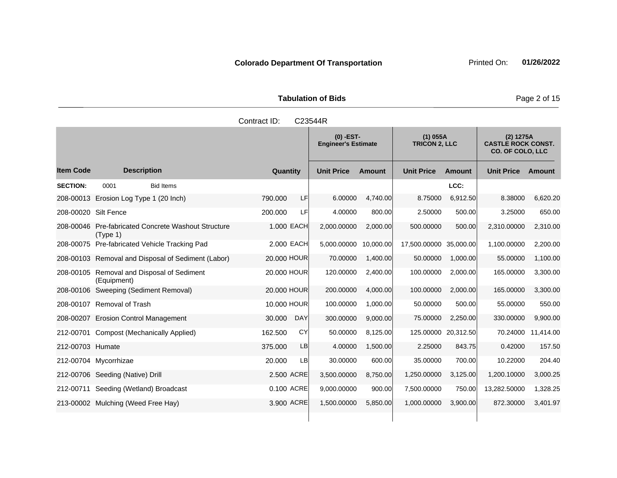Tabulation of Bids **Page 2 of 15** 

|                      |                                                              | Contract ID: | C23544R    |                                           |               |                                    |               |                                                                   |               |
|----------------------|--------------------------------------------------------------|--------------|------------|-------------------------------------------|---------------|------------------------------------|---------------|-------------------------------------------------------------------|---------------|
|                      |                                                              |              |            | $(0)$ -EST-<br><b>Engineer's Estimate</b> |               | $(1)$ 055A<br><b>TRICON 2, LLC</b> |               | (2) 1275A<br><b>CASTLE ROCK CONST.</b><br><b>CO. OF COLO, LLC</b> |               |
| <b>Item Code</b>     | <b>Description</b>                                           | Quantity     |            | <b>Unit Price</b>                         | <b>Amount</b> | <b>Unit Price</b>                  | <b>Amount</b> | <b>Unit Price</b>                                                 | <b>Amount</b> |
| <b>SECTION:</b>      | 0001<br><b>Bid Items</b>                                     |              |            |                                           |               |                                    | LCC:          |                                                                   |               |
|                      | 208-00013 Erosion Log Type 1 (20 Inch)                       | 790.000      | LF         | 6.00000                                   | 4,740.00      | 8.75000                            | 6,912.50      | 8.38000                                                           | 6,620.20      |
| 208-00020 Silt Fence |                                                              | 200.000      | LF         | 4.00000                                   | 800.00        | 2.50000                            | 500.00        | 3.25000                                                           | 650.00        |
| 208-00046            | <b>Pre-fabricated Concrete Washout Structure</b><br>(Tvpe 1) | 1.000 EACH   |            | 2,000.00000                               | 2,000.00      | 500.00000                          | 500.00        | 2,310.00000                                                       | 2,310.00      |
|                      | 208-00075 Pre-fabricated Vehicle Tracking Pad                | 2.000 EACH   |            | 5,000.00000                               | 10,000.00     | 17,500.00000 35,000.00             |               | 1,100.00000                                                       | 2,200.00      |
|                      | 208-00103 Removal and Disposal of Sediment (Labor)           | 20,000 HOUR  |            | 70.00000                                  | 1,400.00      | 50.00000                           | 1.000.00      | 55.00000                                                          | 1,100.00      |
| 208-00105            | Removal and Disposal of Sediment<br>(Equipment)              | 20.000 HOUR  |            | 120.00000                                 | 2,400.00      | 100.00000                          | 2,000.00      | 165.00000                                                         | 3,300.00      |
|                      | 208-00106 Sweeping (Sediment Removal)                        | 20.000 HOUR  |            | 200.00000                                 | 4.000.00      | 100.00000                          | 2.000.00      | 165.00000                                                         | 3,300.00      |
|                      | 208-00107 Removal of Trash                                   | 10.000 HOUR  |            | 100.00000                                 | 1,000.00      | 50.00000                           | 500.00        | 55.00000                                                          | 550.00        |
|                      | 208-00207 Erosion Control Management                         | 30.000       | <b>DAY</b> | 300.00000                                 | 9,000.00      | 75.00000                           | 2,250.00      | 330.00000                                                         | 9,900.00      |
|                      | 212-00701 Compost (Mechanically Applied)                     | 162,500      | CY         | 50.00000                                  | 8,125.00      | 125.00000 20,312.50                |               | 70.24000                                                          | 11,414.00     |
| 212-00703 Humate     |                                                              | 375.000      | LB         | 4.00000                                   | 1,500.00      | 2.25000                            | 843.75        | 0.42000                                                           | 157.50        |
|                      | 212-00704 Mycorrhizae                                        | 20,000       | LB         | 30.00000                                  | 600.00        | 35.00000                           | 700.00        | 10.22000                                                          | 204.40        |
|                      | 212-00706 Seeding (Native) Drill                             | 2,500 ACRE   |            | 3,500.00000                               | 8,750.00      | 1,250.00000                        | 3,125.00      | 1,200.10000                                                       | 3,000.25      |
|                      | 212-00711 Seeding (Wetland) Broadcast                        | 0.100 ACRE   |            | 9,000.00000                               | 900.00        | 7,500.00000                        | 750.00        | 13,282.50000                                                      | 1,328.25      |
|                      | 213-00002 Mulching (Weed Free Hay)                           | 3.900 ACRE   |            | 1,500.00000                               | 5,850.00      | 1,000.00000                        | 3,900.00      | 872.30000                                                         | 3,401.97      |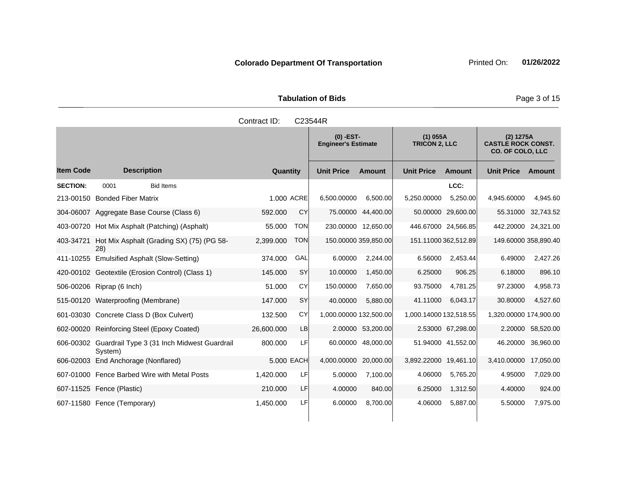**Tabulation of Bids Page 3 of 15** 

|                  |                                                                  | Contract ID: |            | C23544R                                   |                      |                                    |                      |                                                            |                    |
|------------------|------------------------------------------------------------------|--------------|------------|-------------------------------------------|----------------------|------------------------------------|----------------------|------------------------------------------------------------|--------------------|
|                  |                                                                  |              |            | $(0)$ -EST-<br><b>Engineer's Estimate</b> |                      | $(1)$ 055A<br><b>TRICON 2, LLC</b> |                      | (2) 1275A<br><b>CASTLE ROCK CONST.</b><br>CO. OF COLO, LLC |                    |
| <b>Item Code</b> | <b>Description</b>                                               | Quantity     |            | <b>Unit Price</b>                         | Amount               | <b>Unit Price</b>                  | Amount               | <b>Unit Price</b>                                          | Amount             |
| <b>SECTION:</b>  | <b>Bid Items</b><br>0001                                         |              |            |                                           |                      |                                    | LCC:                 |                                                            |                    |
|                  | 213-00150 Bonded Fiber Matrix                                    |              | 1.000 ACRE | 6.500.00000                               | 6,500.00             | 5.250.00000                        | 5,250.00             | 4.945.60000                                                | 4.945.60           |
|                  | 304-06007 Aggregate Base Course (Class 6)                        | 592.000      | <b>CY</b>  | 75.00000                                  | 44,400.00            |                                    | 50.00000 29,600.00   |                                                            | 55.31000 32,743.52 |
| 403-00720        | Hot Mix Asphalt (Patching) (Asphalt)                             | 55.000       | <b>TON</b> |                                           | 230.00000 12,650.00  |                                    | 446.67000 24,566.85  | 442.20000 24,321.00                                        |                    |
| 403-34721        | Hot Mix Asphalt (Grading SX) (75) (PG 58-<br>(28)                | 2,399.000    | <b>TON</b> |                                           | 150.00000 359,850.00 |                                    | 151.11000 362,512.89 | 149.60000 358,890.40                                       |                    |
|                  | 411-10255 Emulsified Asphalt (Slow-Setting)                      | 374.000      | GAL        | 6.00000                                   | 2,244.00             | 6.56000                            | 2,453.44             | 6.49000                                                    | 2,427.26           |
|                  | 420-00102 Geotextile (Erosion Control) (Class 1)                 | 145.000      | <b>SY</b>  | 10.00000                                  | 1,450.00             | 6.25000                            | 906.25               | 6.18000                                                    | 896.10             |
|                  | 506-00206 Riprap (6 Inch)                                        | 51.000       | CY         | 150.00000                                 | 7,650.00             | 93.75000                           | 4,781.25             | 97.23000                                                   | 4,958.73           |
|                  | 515-00120 Waterproofing (Membrane)                               | 147.000      | <b>SY</b>  | 40.00000                                  | 5,880.00             | 41.11000                           | 6,043.17             | 30.80000                                                   | 4,527.60           |
|                  | 601-03030 Concrete Class D (Box Culvert)                         | 132,500      | CY         | 1,000.00000 132,500.00                    |                      | 1,000.14000 132,518.55             |                      | 1,320.00000 174,900.00                                     |                    |
|                  | 602-00020 Reinforcing Steel (Epoxy Coated)                       | 26,600.000   | LB         |                                           | 2.00000 53,200.00    |                                    | 2.53000 67,298.00    | 2.20000                                                    | 58,520.00          |
|                  | 606-00302 Guardrail Type 3 (31 Inch Midwest Guardrail<br>System) | 800.000      | LF         | 60.00000                                  | 48,000.00            |                                    | 51.94000 41,552.00   | 46.20000                                                   | 36,960.00          |
|                  | 606-02003 End Anchorage (Nonflared)                              |              | 5.000 EACH | 4,000.00000                               | 20,000.00            | 3,892.22000 19,461.10              |                      | 3,410.00000                                                | 17,050.00          |
|                  | 607-01000 Fence Barbed Wire with Metal Posts                     | 1,420.000    | LF         | 5.00000                                   | 7,100.00             | 4.06000                            | 5,765.20             | 4.95000                                                    | 7,029.00           |
|                  | 607-11525 Fence (Plastic)                                        | 210.000      | LF         | 4.00000                                   | 840.00               | 6.25000                            | 1,312.50             | 4.40000                                                    | 924.00             |
|                  | 607-11580 Fence (Temporary)                                      | 1,450.000    | LF         | 6.00000                                   | 8,700.00             | 4.06000                            | 5,887.00             | 5.50000                                                    | 7,975.00           |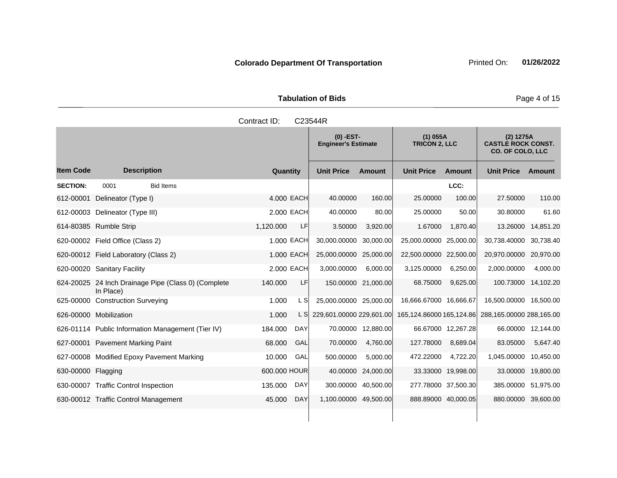Tabulation of Bids **Page 4 of 15** 

|                    |                                                                  | Contract ID: |            | C23544R                                   |                     |                                    |                    |                                                                   |                    |
|--------------------|------------------------------------------------------------------|--------------|------------|-------------------------------------------|---------------------|------------------------------------|--------------------|-------------------------------------------------------------------|--------------------|
|                    |                                                                  |              |            | $(0)$ -EST-<br><b>Engineer's Estimate</b> |                     | $(1)$ 055A<br><b>TRICON 2, LLC</b> |                    | (2) 1275A<br><b>CASTLE ROCK CONST.</b><br><b>CO. OF COLO, LLC</b> |                    |
| <b>Item Code</b>   | <b>Description</b>                                               | Quantity     |            | <b>Unit Price</b>                         | <b>Amount</b>       | <b>Unit Price</b>                  | <b>Amount</b>      | <b>Unit Price</b>                                                 | Amount             |
| <b>SECTION:</b>    | 0001<br><b>Bid Items</b>                                         |              |            |                                           |                     |                                    | LCC:               |                                                                   |                    |
| 612-00001          | Delineator (Type I)                                              |              | 4.000 EACH | 40.00000                                  | 160.00              | 25.00000                           | 100.00             | 27.50000                                                          | 110.00             |
|                    | 612-00003 Delineator (Type III)                                  |              | 2.000 EACH | 40.00000                                  | 80.00               | 25.00000                           | 50.00              | 30.80000                                                          | 61.60              |
|                    | 614-80385 Rumble Strip                                           | 1,120.000    | LF         | 3.50000                                   | 3,920.00            | 1.67000                            | 1,870.40           | 13.26000                                                          | 14,851.20          |
|                    | 620-00002 Field Office (Class 2)                                 |              | 1.000 EACH | 30,000.00000                              | 30,000.00           | 25,000.00000                       | 25,000.00          | 30,738.40000                                                      | 30,738.40          |
|                    | 620-00012 Field Laboratory (Class 2)                             |              | 1.000 EACH | 25,000.00000                              | 25,000.00           | 22,500.00000                       | 22,500.00          | 20,970.00000                                                      | 20,970.00          |
|                    | 620-00020 Sanitary Facility                                      |              | 2.000 EACH | 3,000.00000                               | 6,000.00            | 3,125.00000                        | 6,250.00           | 2,000.00000                                                       | 4,000.00           |
|                    | 624-20025 24 Inch Drainage Pipe (Class 0) (Complete<br>In Place) | 140.000      | LF         |                                           | 150.00000 21,000.00 | 68.75000                           | 9,625.00           | 100.73000                                                         | 14,102.20          |
|                    | 625-00000 Construction Surveying                                 | 1.000        | L Sl       | 25,000.00000 25,000.00                    |                     | 16,666.67000 16,666.67             |                    | 16,500.00000 16,500.00                                            |                    |
|                    | 626-00000 Mobilization                                           | 1.000        | L S        | 229,601.00000 229,601.00                  |                     | 165,124.86000 165,124.86           |                    | 288,165.00000 288,165.00                                          |                    |
|                    | 626-01114 Public Information Management (Tier IV)                | 184.000      | <b>DAY</b> |                                           | 70.00000 12,880.00  |                                    | 66.67000 12,267.28 |                                                                   | 66.00000 12,144.00 |
|                    | 627-00001 Pavement Marking Paint                                 | 68.000       | GAL        | 70.00000                                  | 4,760.00            | 127.78000                          | 8,689.04           | 83.05000                                                          | 5,647.40           |
|                    | 627-00008 Modified Epoxy Pavement Marking                        | 10.000       | GAL        | 500.00000                                 | 5,000.00            | 472.22000                          | 4,722.20           | 1,045.00000                                                       | 10,450.00          |
| 630-00000 Flagging |                                                                  | 600.000 HOUR |            | 40.00000                                  | 24,000.00           |                                    | 33.33000 19,998.00 | 33.00000                                                          | 19,800.00          |
|                    | 630-00007 Traffic Control Inspection                             | 135.000      | DAY        | 300.00000                                 | 40,500.00           | 277.78000 37,500.30                |                    | 385.00000 51,975.00                                               |                    |
|                    | 630-00012 Traffic Control Management                             | 45.000       | <b>DAY</b> | 1,100.00000 49,500.00                     |                     | 888.89000 40,000.05                |                    | 880.00000 39,600.00                                               |                    |
|                    |                                                                  |              |            |                                           |                     |                                    |                    |                                                                   |                    |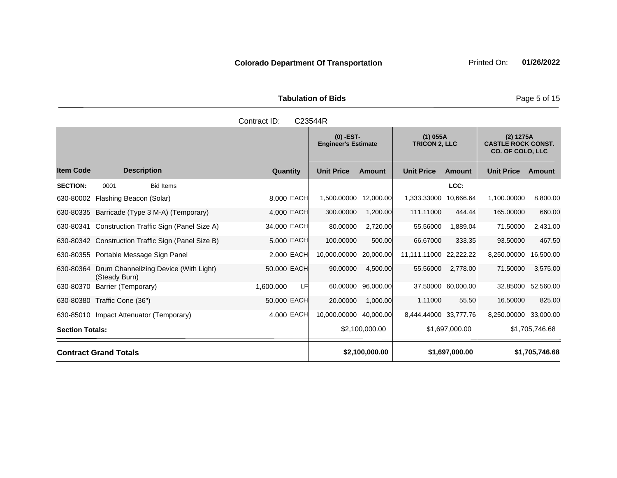Tabulation of Bids **Page 5 of 15** 

|                        |                                         |                                                    | Contract ID: |            | C23544R                                   |                |                                    |                    |                                                                   |                |
|------------------------|-----------------------------------------|----------------------------------------------------|--------------|------------|-------------------------------------------|----------------|------------------------------------|--------------------|-------------------------------------------------------------------|----------------|
|                        |                                         |                                                    |              |            | $(0)$ -EST-<br><b>Engineer's Estimate</b> |                | $(1)$ 055A<br><b>TRICON 2, LLC</b> |                    | (2) 1275A<br><b>CASTLE ROCK CONST.</b><br><b>CO. OF COLO, LLC</b> |                |
| <b>Item Code</b>       | <b>Description</b>                      |                                                    | Quantity     |            | <b>Unit Price</b>                         | Amount         | <b>Unit Price</b>                  | <b>Amount</b>      | <b>Unit Price</b>                                                 | Amount         |
| <b>SECTION:</b>        | 0001                                    | <b>Bid Items</b>                                   |              |            |                                           |                |                                    | LCC:               |                                                                   |                |
| 630-80002              | Flashing Beacon (Solar)                 |                                                    |              | 8.000 EACH | 1,500.00000                               | 12,000.00      | 1,333.33000                        | 10,666.64          | 1,100.00000                                                       | 8,800.00       |
|                        |                                         | 630-80335 Barricade (Type 3 M-A) (Temporary)       |              | 4.000 EACH | 300.00000                                 | 1,200.00       | 111.11000                          | 444.44             | 165,00000                                                         | 660.00         |
|                        |                                         | 630-80341 Construction Traffic Sign (Panel Size A) | 34.000 EACH  |            | 80.00000                                  | 2,720.00       | 55.56000                           | 1,889.04           | 71.50000                                                          | 2,431.00       |
|                        |                                         | 630-80342 Construction Traffic Sign (Panel Size B) |              | 5.000 EACH | 100.00000                                 | 500.00         | 66.67000                           | 333.35             | 93.50000                                                          | 467.50         |
|                        | 630-80355 Portable Message Sign Panel   |                                                    | 2.000 EACH   |            | 10,000.00000                              | 20,000.00      | 11,111.11000 22,222.22             |                    | 8,250.00000                                                       | 16,500.00      |
| 630-80364              | (Steady Burn)                           | Drum Channelizing Device (With Light)              | 50.000 EACH  |            | 90.00000                                  | 4,500.00       | 55.56000                           | 2,778.00           | 71.50000                                                          | 3,575.00       |
| 630-80370              | Barrier (Temporary)                     |                                                    | 1,600.000    | LF         | 60.00000                                  | 96,000.00      |                                    | 37.50000 60,000.00 | 32.85000                                                          | 52,560.00      |
|                        | 630-80380 Traffic Cone (36")            |                                                    | 50.000 EACH  |            | 20.00000                                  | 1,000.00       | 1.11000                            | 55.50              | 16.50000                                                          | 825.00         |
|                        | 630-85010 Impact Attenuator (Temporary) |                                                    |              | 4.000 EACH | 10,000.00000                              | 40,000.00      | 8,444.44000 33,777.76              |                    | 8,250.00000 33,000.00                                             |                |
| <b>Section Totals:</b> |                                         |                                                    |              |            |                                           | \$2,100,000.00 |                                    | \$1,697,000.00     |                                                                   | \$1,705,746.68 |
|                        | <b>Contract Grand Totals</b>            |                                                    |              |            |                                           | \$2,100,000.00 |                                    | \$1,697,000.00     |                                                                   | \$1,705,746.68 |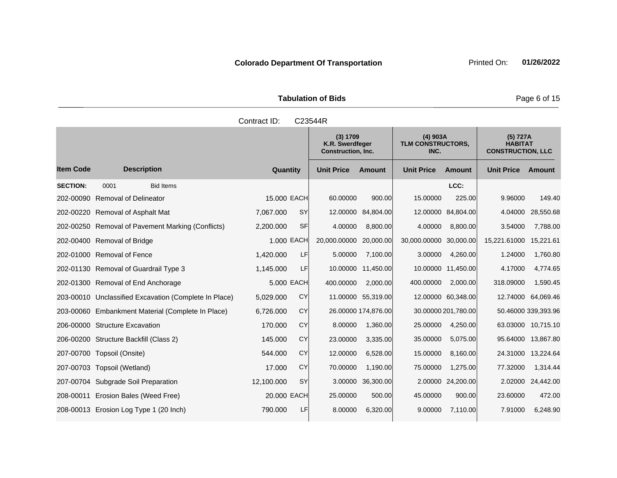**Tabulation of Bids** Page 6 of 15

|     |                     | Contract ID: | C23544R                                                  |               |                                                |               |                                                 |  |
|-----|---------------------|--------------|----------------------------------------------------------|---------------|------------------------------------------------|---------------|-------------------------------------------------|--|
|     |                     |              | (3) 1709<br>K.R. Swerdfeger<br><b>Construction, Inc.</b> |               | $(4)$ 903A<br><b>TLM CONSTRUCTORS,</b><br>INC. |               | (5) 727A<br><b>HABITA</b><br><b>CONSTRUCTIC</b> |  |
|     | <b>Description</b>  | Quantity     | <b>Unit Price</b>                                        | <b>Amount</b> | <b>Unit Price</b>                              | <b>Amount</b> | <b>Unit Price</b>                               |  |
| 001 | <b>Bid Items</b>    |              |                                                          |               |                                                | LCC:          |                                                 |  |
|     | noval of Delineator | 15.000 EACH  | 60.00000                                                 | 900.00        | 15,00000                                       | 225.00        | 9.96000                                         |  |
|     |                     |              |                                                          |               |                                                |               |                                                 |  |

|                 |                                                       |                        | K.R. Swerdfeger<br><b>Construction, Inc.</b> |                     | <b>TLM CONSTRUCTORS,</b><br>INC. |                     | <b>HABITAT</b><br><b>CONSTRUCTION, LLC</b> |                     |
|-----------------|-------------------------------------------------------|------------------------|----------------------------------------------|---------------------|----------------------------------|---------------------|--------------------------------------------|---------------------|
| ltem Code       | <b>Description</b>                                    | Quantity               | <b>Unit Price</b>                            | <b>Amount</b>       | <b>Unit Price</b>                | Amount              | <b>Unit Price</b>                          | Amount              |
| <b>SECTION:</b> | 0001<br><b>Bid Items</b>                              |                        |                                              |                     |                                  | LCC:                |                                            |                     |
|                 | 202-00090 Removal of Delineator                       | 15,000 EACH            | 60.00000                                     | 900.00              | 15,00000                         | 225.00              | 9.96000                                    | 149.40              |
|                 | 202-00220 Removal of Asphalt Mat                      | <b>SY</b><br>7,067.000 | 12.00000                                     | 84,804.00           |                                  | 12.00000 84,804.00  | 4.04000                                    | 28,550.68           |
|                 | 202-00250 Removal of Pavement Marking (Conflicts)     | SFI<br>2,200.000       | 4.00000                                      | 8,800.00            | 4.00000                          | 8,800.00            | 3.54000                                    | 7,788.00            |
|                 | 202-00400 Removal of Bridge                           | 1.000 EACH             | 20,000.00000                                 | 20,000.00           | 30,000.00000                     | 30,000.00           | 15,221.61000                               | 15,221.61           |
|                 | 202-01000 Removal of Fence                            | LF<br>1,420.000        | 5.00000                                      | 7,100.00            | 3.00000                          | 4,260.00            | 1.24000                                    | 1,760.80            |
|                 | 202-01130 Removal of Guardrail Type 3                 | LF<br>1,145.000        |                                              | 10.00000 11,450.00  |                                  | 10.00000 11.450.00  | 4.17000                                    | 4,774.65            |
|                 | 202-01300 Removal of End Anchorage                    | 5.000 EACH             | 400.00000                                    | 2,000.00            | 400.00000                        | 2,000.00            | 318.09000                                  | 1,590.45            |
|                 | 203-00010 Unclassified Excavation (Complete In Place) | CY<br>5,029.000        |                                              | 11.00000 55,319.00  |                                  | 12.00000 60,348.00  | 12.74000                                   | 64,069.46           |
|                 | 203-00060 Embankment Material (Complete In Place)     | CY<br>6,726.000        |                                              | 26.00000 174,876.00 |                                  | 30.00000 201,780.00 |                                            | 50.46000 339,393.96 |
|                 | 206-00000 Structure Excavation                        | CY<br>170.000          | 8.00000                                      | 1,360.00            | 25.00000                         | 4,250.00            |                                            | 63.03000 10,715.10  |
|                 | 206-00200 Structure Backfill (Class 2)                | CY<br>145.000          | 23.00000                                     | 3,335.00            | 35.00000                         | 5,075.00            |                                            | 95.64000 13,867.80  |
|                 | 207-00700 Topsoil (Onsite)                            | CY<br>544.000          | 12.00000                                     | 6,528.00            | 15.00000                         | 8,160.00            |                                            | 24.31000 13,224.64  |

207-00703 Topsoil (Wetland) 17.000 CY 70.00000 1,190.00 75.00000 1,275.00 77.32000 1,314.44 207-00704 Subgrade Soil Preparation 12,100.000 SY 3.00000 36,300.00 2.00000 24,200.00 2.02000 24,442.00 208-00011 Erosion Bales (Weed Free) 20.000 EACH 25.00000 500.00 45.00000 900.00 23.60000 472.00 208-00013 Erosion Log Type 1 (20 Inch) 790.000 LF 8.00000 6,320.00 9.00000 7,110.00 7.91000 6,248.90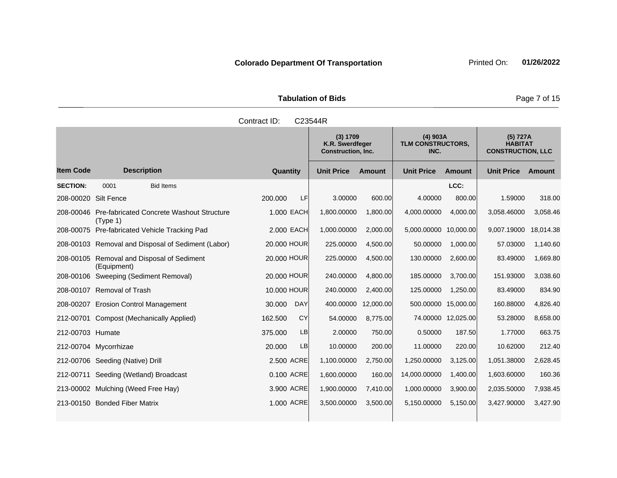**Tabulation of Bids** Page 7 of 15

|                  |                            |                                                    | Contract ID: |             | C23544R                                                  |               |                                         |               |                                                        |               |
|------------------|----------------------------|----------------------------------------------------|--------------|-------------|----------------------------------------------------------|---------------|-----------------------------------------|---------------|--------------------------------------------------------|---------------|
|                  |                            |                                                    |              |             | (3) 1709<br>K.R. Swerdfeger<br><b>Construction, Inc.</b> |               | $(4)$ 903A<br>TLM CONSTRUCTORS,<br>INC. |               | (5) 727A<br><b>HABITAT</b><br><b>CONSTRUCTION, LLC</b> |               |
| <b>Item Code</b> |                            | <b>Description</b>                                 |              | Quantity    | <b>Unit Price</b>                                        | <b>Amount</b> | <b>Unit Price</b>                       | <b>Amount</b> | <b>Unit Price</b>                                      | <b>Amount</b> |
| <b>SECTION:</b>  | 0001                       | <b>Bid Items</b>                                   |              |             |                                                          |               |                                         | LCC:          |                                                        |               |
| 208-00020        | Silt Fence                 |                                                    | 200.000      | <b>LF</b>   | 3.00000                                                  | 600.00        | 4.00000                                 | 800.00        | 1.59000                                                | 318.00        |
| 208-00046        | (Type 1)                   | <b>Pre-fabricated Concrete Washout Structure</b>   |              | 1.000 EACH  | 1,800.00000                                              | 1,800.00      | 4,000.00000                             | 4,000.00      | 3,058.46000                                            | 3,058.46      |
| 208-00075        |                            | Pre-fabricated Vehicle Tracking Pad                |              | 2.000 EACH  | 1,000.00000                                              | 2,000.00      | 5,000.00000                             | 10,000.00     | 9,007.19000                                            | 18,014.38     |
|                  |                            | 208-00103 Removal and Disposal of Sediment (Labor) |              | 20,000 HOUR | 225.00000                                                | 4,500.00      | 50.00000                                | 1,000.00      | 57.03000                                               | 1,140.60      |
| 208-00105        | (Equipment)                | Removal and Disposal of Sediment                   |              | 20.000 HOUR | 225,00000                                                | 4,500.00      | 130.00000                               | 2,600.00      | 83.49000                                               | 1,669.80      |
| 208-00106        |                            | Sweeping (Sediment Removal)                        |              | 20,000 HOUR | 240.00000                                                | 4,800.00      | 185.00000                               | 3,700.00      | 151.93000                                              | 3,038.60      |
|                  | 208-00107 Removal of Trash |                                                    |              | 10.000 HOUR | 240.00000                                                | 2,400.00      | 125.00000                               | 1,250.00      | 83.49000                                               | 834.90        |
| 208-00207        |                            | Erosion Control Management                         | 30.000       | <b>DAY</b>  | 400.00000                                                | 12,000.00     | 500.00000                               | 15,000.00     | 160.88000                                              | 4,826.40      |
| 212-00701        |                            | <b>Compost (Mechanically Applied)</b>              | 162.500      | CY          | 54.00000                                                 | 8,775.00      | 74.00000                                | 12,025.00     | 53.28000                                               | 8,658.00      |
| 212-00703 Humate |                            |                                                    | 375.000      | LB          | 2.00000                                                  | 750.00        | 0.50000                                 | 187.50        | 1.77000                                                | 663.75        |

212-00704 Mycorrhizae 20.000 LB 10.00000 200.00 11.00000 220.00 10.62000 212.40 212-00706 Seeding (Native) Drill 2.500 ACRE 1,100.00000 2,750.00 1,250.00000 3,125.00 1,051.38000 2,628.45 212-00711 Seeding (Wetland) Broadcast 0.100 ACRE 1,600.00000 160.00 14,000.00000 1,400.00 1,603.60000 160.36 213-00002 Mulching (Weed Free Hay) 3.900 ACRE 1,900.00000 7,410.00 1,000.00000 3,900.00 2,035.50000 7,938.45 213-00150 Bonded Fiber Matrix 1.000 ACRE 3,500.00000 3,500.00 5,150.00000 5,150.00 3,427.90000 3,427.90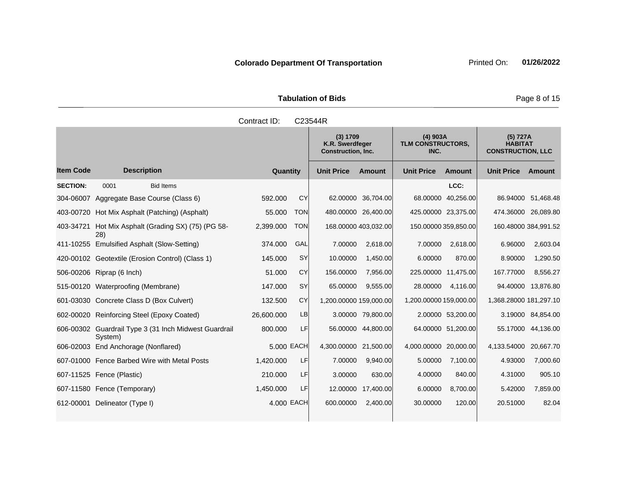|              | <b>Tabulation of Bids</b>                                |                                         | Page 8 of 15                                           |
|--------------|----------------------------------------------------------|-----------------------------------------|--------------------------------------------------------|
| Contract ID: | C <sub>23544</sub> R                                     |                                         |                                                        |
|              | (3) 1709<br>K.R. Swerdfeger<br><b>Construction, Inc.</b> | $(4)$ 903A<br>TLM CONSTRUCTORS,<br>INC. | (5) 727A<br><b>HABITAT</b><br><b>CONSTRUCTION, LLC</b> |

|                  |                                             |                                                       |            |            | (3) 1709<br>K.R. Swerdfeger<br><b>Construction, Inc.</b> |                      | $(4)$ 903A<br>TLM CONSTRUCTORS,<br>INC. |                      | (5) 727A<br><b>HABITAT</b><br><b>CONSTRUCTION, LLC</b> |                      |
|------------------|---------------------------------------------|-------------------------------------------------------|------------|------------|----------------------------------------------------------|----------------------|-----------------------------------------|----------------------|--------------------------------------------------------|----------------------|
| <b>Item Code</b> | <b>Description</b>                          |                                                       | Quantity   |            | <b>Unit Price</b>                                        | <b>Amount</b>        | <b>Unit Price</b>                       | <b>Amount</b>        | <b>Unit Price</b>                                      | Amount               |
| <b>SECTION:</b>  | 0001                                        | <b>Bid Items</b>                                      |            |            |                                                          |                      |                                         | LCC:                 |                                                        |                      |
| 304-06007        | Aggregate Base Course (Class 6)             |                                                       | 592.000    | <b>CY</b>  |                                                          | 62.00000 36,704.00   | 68.00000                                | 40,256.00            |                                                        | 86.94000 51,468.48   |
| 403-00720        |                                             | Hot Mix Asphalt (Patching) (Asphalt)                  | 55.000     | <b>TON</b> |                                                          | 480.00000 26,400.00  |                                         | 425.00000 23,375.00  |                                                        | 474.36000 26,089.80  |
| 403-34721        | 28)                                         | Hot Mix Asphalt (Grading SX) (75) (PG 58-             | 2,399.000  | <b>TON</b> |                                                          | 168.00000 403,032.00 |                                         | 150.00000 359,850.00 |                                                        | 160.48000 384,991.52 |
|                  | 411-10255 Emulsified Asphalt (Slow-Setting) |                                                       | 374.000    | GAL        | 7.00000                                                  | 2,618.00             | 7.00000                                 | 2,618.00             | 6.96000                                                | 2,603.04             |
|                  |                                             | 420-00102 Geotextile (Erosion Control) (Class 1)      | 145.000    | <b>SY</b>  | 10.00000                                                 | 1,450.00             | 6.00000                                 | 870.00               | 8.90000                                                | 1,290.50             |
|                  | 506-00206 Riprap (6 Inch)                   |                                                       | 51.000     | <b>CY</b>  | 156.00000                                                | 7,956.00             |                                         | 225.00000 11,475.00  | 167.77000                                              | 8,556.27             |
|                  | 515-00120 Waterproofing (Membrane)          |                                                       | 147.000    | <b>SY</b>  | 65.00000                                                 | 9,555.00             | 28.00000                                | 4,116.00             |                                                        | 94.40000 13,876.80   |
|                  | 601-03030 Concrete Class D (Box Culvert)    |                                                       | 132.500    | <b>CY</b>  | 1,200.00000 159,000.00                                   |                      | 1,200.00000 159,000.00                  |                      | 1,368.28000 181,297.10                                 |                      |
|                  | 602-00020 Reinforcing Steel (Epoxy Coated)  |                                                       | 26,600.000 | <b>LB</b>  |                                                          | 3.00000 79,800.00    |                                         | 2.00000 53,200.00    |                                                        | 3.19000 84,854.00    |
|                  | System)                                     | 606-00302 Guardrail Type 3 (31 Inch Midwest Guardrail | 800.000    | LF         |                                                          | 56.00000 44,800.00   |                                         | 64.00000 51,200.00   |                                                        | 55.17000 44,136.00   |
|                  | 606-02003 End Anchorage (Nonflared)         |                                                       | 5.000 EACH |            | 4,300.00000 21,500.00                                    |                      | 4,000.00000 20,000.00                   |                      | 4,133.54000 20,667.70                                  |                      |
|                  |                                             | 607-01000 Fence Barbed Wire with Metal Posts          | 1,420.000  | LF         | 7.00000                                                  | 9,940.00             | 5.00000                                 | 7,100.00             | 4.93000                                                | 7,000.60             |
|                  | 607-11525 Fence (Plastic)                   |                                                       | 210.000    | LF         | 3.00000                                                  | 630.00               | 4.00000                                 | 840.00               | 4.31000                                                | 905.10               |
|                  | 607-11580 Fence (Temporary)                 |                                                       | 1,450.000  | <b>LF</b>  | 12.00000                                                 | 17,400.00            | 6.00000                                 | 8,700.00             | 5.42000                                                | 7,859.00             |
| 612-00001        | Delineator (Type I)                         |                                                       | 4.000 EACH |            | 600.00000                                                | 2,400.00             | 30.00000                                | 120.00               | 20.51000                                               | 82.04                |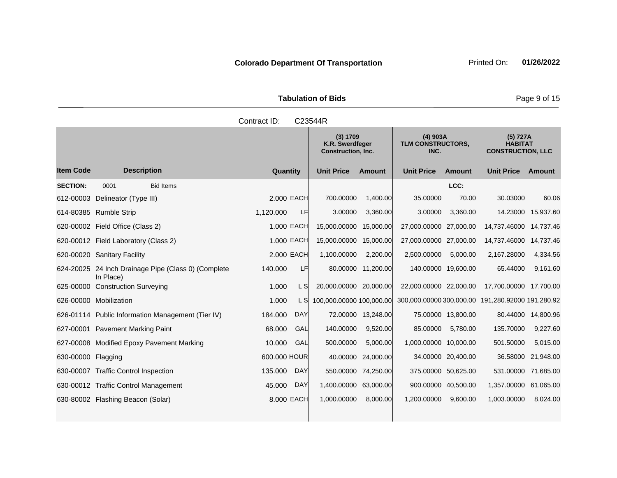Tabulation of Bids **Page 9 of 15** 

|                     |                    | Contract ID:   | C23544R                                           |               |                                                |          |                                                   |  |
|---------------------|--------------------|----------------|---------------------------------------------------|---------------|------------------------------------------------|----------|---------------------------------------------------|--|
|                     |                    |                | (3) 1709<br>K.R. Swerdfeger<br>Construction, Inc. |               | $(4)$ 903A<br><b>TLM CONSTRUCTORS,</b><br>INC. |          | (5) 727A<br><b>HABITAT</b><br><b>CONSTRUCTIOI</b> |  |
|                     | <b>Description</b> | Quantity       | <b>Unit Price</b>                                 | <b>Amount</b> | <b>Unit Price</b>                              | Amount   | Unit Price A                                      |  |
| 001                 | <b>Bid Items</b>   |                |                                                   |               |                                                | LCC:     |                                                   |  |
| lineator (Type III) |                    | 2,000 EACH     | 700.00000                                         | 1,400.00      | 35,00000                                       | 70.00    | 30.03000                                          |  |
| mhla Strin          |                    | E<br>1 120 000 | 3 UUUUU                                           | ୍ର 360 UU     | 3.00000                                        | 3.360.00 | 14 23000 1                                        |  |

|                    |                                      |                                                     |              |            | K.R. Swerdfeger<br><b>Construction, Inc.</b> |                    | TLM CONSTRUCTORS,<br>INC. |                    | <b>HABITAT</b><br><b>CONSTRUCTION, LLC</b> |                    |
|--------------------|--------------------------------------|-----------------------------------------------------|--------------|------------|----------------------------------------------|--------------------|---------------------------|--------------------|--------------------------------------------|--------------------|
| ltem Code          | <b>Description</b>                   |                                                     | Quantity     |            | <b>Unit Price</b>                            | <b>Amount</b>      | <b>Unit Price</b>         | Amount             | <b>Unit Price</b>                          | Amount             |
| <b>SECTION:</b>    | 0001                                 | <b>Bid Items</b>                                    |              |            |                                              |                    |                           | LCC:               |                                            |                    |
|                    | 612-00003 Delineator (Type III)      |                                                     |              | 2.000 EACH | 700.00000                                    | 1,400.00           | 35.00000                  | 70.00              | 30.03000                                   | 60.06              |
|                    | 614-80385 Rumble Strip               |                                                     | 1,120.000    | LF         | 3.00000                                      | 3,360.00           | 3.00000                   | 3,360.00           | 14.23000                                   | 15,937.60          |
|                    | 620-00002    Field Office (Class 2)  |                                                     |              | 1.000 EACH | 15,000.00000                                 | 15,000.00          | 27,000.00000 27,000.00    |                    | 14,737.46000                               | 14,737.46          |
|                    | 620-00012 Field Laboratory (Class 2) |                                                     |              | 1.000 EACH | 15,000.00000 15,000.00                       |                    | 27,000.00000 27,000.00    |                    | 14,737.46000                               | 14,737.46          |
|                    | 620-00020 Sanitary Facility          |                                                     |              | 2,000 EACH | 1,100.00000                                  | 2,200.00           | 2,500.00000               | 5,000.00           | 2,167.28000                                | 4,334.56           |
|                    | In Place)                            | 624-20025 24 Inch Drainage Pipe (Class 0) (Complete | 140.000      | LF         |                                              | 80.00000 11,200.00 | 140.00000 19,600.00       |                    | 65.44000                                   | 9,161.60           |
|                    | 625-00000 Construction Surveying     |                                                     | 1.000        | L SI       | 20,000.00000 20,000.00                       |                    | 22,000.00000 22,000.00    |                    | 17,700.00000                               | 17,700.00          |
|                    | 626-00000 Mobilization               |                                                     | 1.000        | L SI       | 100,000.00000 100,000.00                     |                    | 300,000.00000 300,000.00  |                    | 191,280.92000 191,280.92                   |                    |
|                    |                                      | 626-01114 Public Information Management (Tier IV)   | 184.000      | DAY        |                                              | 72.00000 13,248.00 |                           | 75.00000 13,800.00 |                                            | 80.44000 14,800.96 |
|                    | 627-00001 Pavement Marking Paint     |                                                     | 68.000       | GAL        | 140.00000                                    | 9,520.00           | 85.00000                  | 5,780.00           | 135.70000                                  | 9,227.60           |
|                    |                                      | 627-00008 Modified Epoxy Pavement Marking           | 10.000       | GAL        | 500.00000                                    | 5,000.00           | 1,000.00000 10,000.00     |                    | 501.50000                                  | 5,015.00           |
| 630-00000 Flagging |                                      |                                                     | 600.000 HOUR |            |                                              | 40.00000 24,000.00 |                           | 34.00000 20,400.00 | 36.58000                                   | 21,948.00          |
|                    | 630-00007 Traffic Control Inspection |                                                     | 135.000      | <b>DAY</b> | 550.00000                                    | 74,250.00          | 375.00000 50,625.00       |                    | 531.00000                                  | 71,685.00          |
|                    | 630-00012 Traffic Control Management |                                                     | 45.000       | <b>DAY</b> | 1,400.00000                                  | 63,000.00          | 900.00000 40,500.00       |                    | 1,357.00000                                | 61,065.00          |
|                    | 630-80002 Flashing Beacon (Solar)    |                                                     |              | 8,000 EACH | 1,000.00000                                  | 8,000.00           | 1,200.00000               | 9,600.00           | 1,003.00000                                | 8,024.00           |
|                    |                                      |                                                     |              |            |                                              |                    |                           |                    |                                            |                    |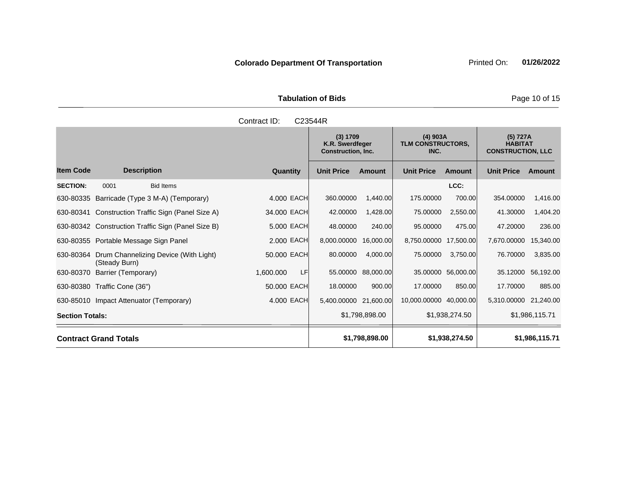Tabulation of Bids **Page 10 of 15** 

|                        |                                                        | Contract ID:     | C23544R                                                  |                    |                                                |                    |                                                        |                |
|------------------------|--------------------------------------------------------|------------------|----------------------------------------------------------|--------------------|------------------------------------------------|--------------------|--------------------------------------------------------|----------------|
|                        |                                                        |                  | (3) 1709<br>K.R. Swerdfeger<br><b>Construction, Inc.</b> |                    | $(4)$ 903A<br><b>TLM CONSTRUCTORS,</b><br>INC. |                    | (5) 727A<br><b>HABITAT</b><br><b>CONSTRUCTION, LLC</b> |                |
| <b>Item Code</b>       | <b>Description</b>                                     | Quantity         | <b>Unit Price</b>                                        | <b>Amount</b>      | <b>Unit Price</b>                              | Amount             | <b>Unit Price</b>                                      | <b>Amount</b>  |
| <b>SECTION:</b>        | 0001<br><b>Bid Items</b>                               |                  |                                                          |                    |                                                | LCC:               |                                                        |                |
|                        | 630-80335 Barricade (Type 3 M-A) (Temporary)           | 4.000 EACH       | 360,00000                                                | 1,440.00           | 175,00000                                      | 700.00             | 354.00000                                              | 1,416.00       |
|                        | 630-80341 Construction Traffic Sign (Panel Size A)     | 34.000 EACH      | 42.00000                                                 | 1,428.00           | 75.00000                                       | 2,550.00           | 41.30000                                               | 1,404.20       |
|                        | 630-80342 Construction Traffic Sign (Panel Size B)     | 5.000 EACH       | 48.00000                                                 | 240.00             | 95.00000                                       | 475.00             | 47.20000                                               | 236.00         |
|                        | 630-80355 Portable Message Sign Panel                  | 2.000 EACH       | 8,000.00000                                              | 16,000.00          | 8,750.00000                                    | 17,500.00          | 7,670.00000                                            | 15,340.00      |
| 630-80364              | Drum Channelizing Device (With Light)<br>(Steady Burn) | 50.000 EACH      | 80.00000                                                 | 4,000.00           | 75.00000                                       | 3,750.00           | 76.70000                                               | 3,835.00       |
| 630-80370              | Barrier (Temporary)                                    | LF.<br>1,600.000 |                                                          | 55.00000 88,000.00 |                                                | 35.00000 56,000.00 | 35.12000                                               | 56,192.00      |
|                        | 630-80380 Traffic Cone (36")                           | 50.000 EACH      | 18.00000                                                 | 900.00             | 17.00000                                       | 850.00             | 17.70000                                               | 885.00         |
|                        | 630-85010 Impact Attenuator (Temporary)                | 4.000 EACH       | 5,400.00000 21,600.00                                    |                    | 10,000.00000 40,000.00                         |                    | 5,310.00000 21,240.00                                  |                |
| <b>Section Totals:</b> |                                                        |                  |                                                          | \$1,798,898.00     |                                                | \$1,938,274.50     |                                                        | \$1,986,115.71 |
|                        | <b>Contract Grand Totals</b>                           |                  |                                                          | \$1,798,898.00     |                                                | \$1,938,274.50     |                                                        | \$1,986,115.71 |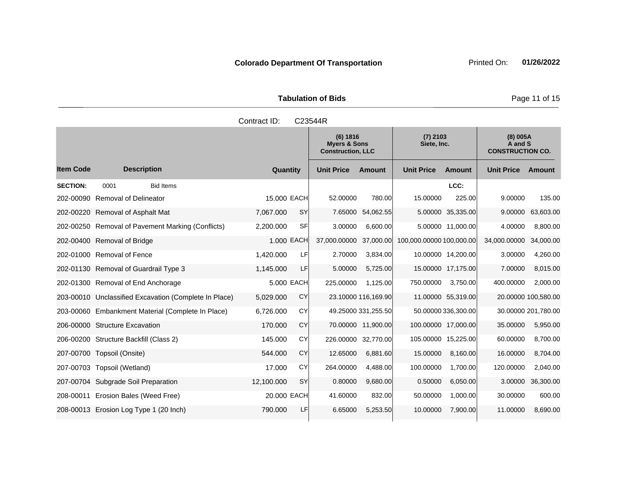Tabulation of Bids **Page 11 of 15** 

|                  |                                                       | Contract ID: |            | C23544R                                                         |                     |                           |                     |                                                |                     |
|------------------|-------------------------------------------------------|--------------|------------|-----------------------------------------------------------------|---------------------|---------------------------|---------------------|------------------------------------------------|---------------------|
|                  |                                                       |              |            | (6) 1816<br><b>Myers &amp; Sons</b><br><b>Construction, LLC</b> |                     | $(7)$ 2103<br>Siete, Inc. |                     | (8) 005A<br>A and S<br><b>CONSTRUCTION CO.</b> |                     |
| <b>Item Code</b> | <b>Description</b>                                    | Quantity     |            | <b>Unit Price</b>                                               | <b>Amount</b>       | <b>Unit Price</b>         | Amount              | <b>Unit Price</b>                              | <b>Amount</b>       |
| <b>SECTION:</b>  | 0001<br><b>Bid Items</b>                              |              |            |                                                                 |                     |                           | LCC:                |                                                |                     |
| 202-00090        | <b>Removal of Delineator</b>                          | 15.000 EACH  |            | 52.00000                                                        | 780.00              | 15.00000                  | 225.00              | 9.00000                                        | 135.00              |
|                  | 202-00220 Removal of Asphalt Mat                      | 7,067.000    | <b>SY</b>  | 7.65000                                                         | 54,062.55           |                           | 5.00000 35,335.00   | 9.00000                                        | 63,603.00           |
|                  | 202-00250 Removal of Pavement Marking (Conflicts)     | 2,200.000    | SFI        | 3.00000                                                         | 6,600.00            |                           | 5.00000 11,000.00   | 4.00000                                        | 8,800.00            |
|                  | 202-00400 Removal of Bridge                           |              | 1.000 EACH | 37,000.00000                                                    | 37,000.00           | 100,000.00000 100,000.00  |                     | 34,000.00000                                   | 34,000.00           |
|                  | 202-01000 Removal of Fence                            | 1,420.000    | LF         | 2.70000                                                         | 3,834.00            |                           | 10.00000 14,200.00  | 3.00000                                        | 4,260.00            |
|                  | 202-01130 Removal of Guardrail Type 3                 | 1,145.000    | LF         | 5.00000                                                         | 5,725.00            |                           | 15.00000 17,175.00  | 7.00000                                        | 8,015.00            |
|                  | 202-01300 Removal of End Anchorage                    |              | 5.000 EACH | 225.00000                                                       | 1.125.00            | 750.00000                 | 3,750.00            | 400.00000                                      | 2,000.00            |
|                  | 203-00010 Unclassified Excavation (Complete In Place) | 5,029.000    | CY         |                                                                 | 23.10000 116,169.90 |                           | 11.00000 55,319.00  |                                                | 20.00000 100,580.00 |
|                  | 203-00060 Embankment Material (Complete In Place)     | 6,726.000    | CY         |                                                                 | 49.25000 331,255.50 |                           | 50.00000 336,300.00 |                                                | 30.00000 201,780.00 |
| 206-00000        | <b>Structure Excavation</b>                           | 170.000      | <b>CY</b>  |                                                                 | 70.00000 11,900.00  | 100.00000 17,000.00       |                     | 35.00000                                       | 5,950.00            |
|                  | 206-00200 Structure Backfill (Class 2)                | 145.000      | CY         |                                                                 | 226.00000 32,770.00 | 105.00000 15,225.00       |                     | 60.00000                                       | 8,700.00            |
|                  | 207-00700 Topsoil (Onsite)                            | 544.000      | CY         | 12.65000                                                        | 6,881.60            | 15.00000                  | 8,160.00            | 16.00000                                       | 8,704.00            |
|                  | 207-00703 Topsoil (Wetland)                           | 17.000       | CY         | 264.00000                                                       | 4,488.00            | 100.00000                 | 1,700.00            | 120.00000                                      | 2,040.00            |
|                  | 207-00704 Subgrade Soil Preparation                   | 12,100.000   | <b>SY</b>  | 0.80000                                                         | 9,680.00            | 0.50000                   | 6,050.00            | 3.00000                                        | 36,300.00           |
|                  | 208-00011 Erosion Bales (Weed Free)                   | 20,000 EACH  |            | 41.60000                                                        | 832.00              | 50.00000                  | 1,000.00            | 30.00000                                       | 600.00              |
|                  | 208-00013 Erosion Log Type 1 (20 Inch)                | 790.000      | LF         | 6.65000                                                         | 5,253.50            | 10.00000                  | 7,900.00            | 11.00000                                       | 8,690.00            |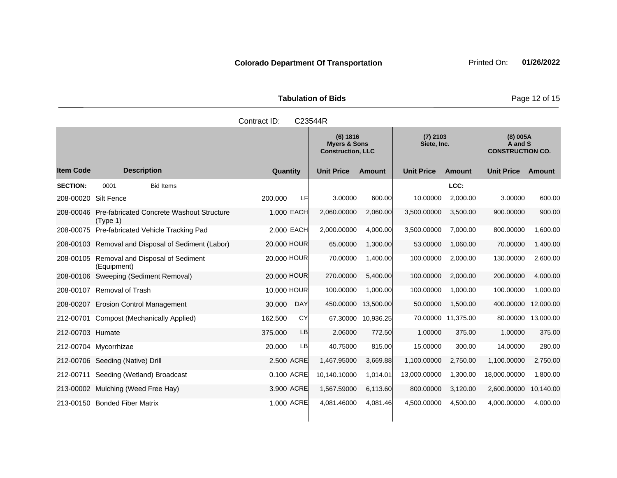Tabulation of Bids **Page 12 of 15** 

|                      |                                                              | Contract ID:         | C23544R                                                         |                    |                           |                    |                                                |           |
|----------------------|--------------------------------------------------------------|----------------------|-----------------------------------------------------------------|--------------------|---------------------------|--------------------|------------------------------------------------|-----------|
|                      |                                                              |                      | (6) 1816<br><b>Myers &amp; Sons</b><br><b>Construction, LLC</b> |                    | $(7)$ 2103<br>Siete, Inc. |                    | (8) 005A<br>A and S<br><b>CONSTRUCTION CO.</b> |           |
| <b>Item Code</b>     | <b>Description</b>                                           | Quantity             | <b>Unit Price</b>                                               | <b>Amount</b>      | <b>Unit Price</b>         | <b>Amount</b>      | <b>Unit Price</b>                              | Amount    |
| <b>SECTION:</b>      | 0001<br><b>Bid Items</b>                                     |                      |                                                                 |                    |                           | LCC:               |                                                |           |
| 208-00020 Silt Fence |                                                              | 200.000<br>LFI       | 3.00000                                                         | 600.00             | 10.00000                  | 2,000.00           | 3.00000                                        | 600.00    |
| 208-00046            | <b>Pre-fabricated Concrete Washout Structure</b><br>(Type 1) | 1.000 EACH           | 2,060.00000                                                     | 2,060.00           | 3,500.00000               | 3,500.00           | 900.00000                                      | 900.00    |
|                      | 208-00075 Pre-fabricated Vehicle Tracking Pad                | 2.000 EACH           | 2,000.00000                                                     | 4,000.00           | 3,500.00000               | 7,000.00           | 800.00000                                      | 1,600.00  |
|                      | 208-00103 Removal and Disposal of Sediment (Labor)           | 20.000 HOUR          | 65.00000                                                        | 1,300.00           | 53.00000                  | 1,060.00           | 70.00000                                       | 1,400.00  |
|                      | 208-00105 Removal and Disposal of Sediment<br>(Equipment)    | 20.000 HOUR          | 70.00000                                                        | 1,400.00           | 100.00000                 | 2,000.00           | 130.00000                                      | 2,600.00  |
|                      | 208-00106 Sweeping (Sediment Removal)                        | 20.000 HOUR          | 270.00000                                                       | 5,400.00           | 100.00000                 | 2,000.00           | 200.00000                                      | 4,000.00  |
|                      | 208-00107 Removal of Trash                                   | 10,000 HOUR          | 100.00000                                                       | 1,000.00           | 100.00000                 | 1,000.00           | 100.00000                                      | 1,000.00  |
|                      | 208-00207 Erosion Control Management                         | 30.000<br><b>DAY</b> | 450.00000                                                       | 13,500.00          | 50.00000                  | 1,500.00           | 400.00000                                      | 12,000.00 |
| 212-00701            | <b>Compost (Mechanically Applied)</b>                        | CY<br>162,500        |                                                                 | 67.30000 10,936.25 |                           | 70.00000 11,375.00 | 80.00000                                       | 13,000.00 |
| 212-00703 Humate     |                                                              | LB<br>375.000        | 2.06000                                                         | 772.50             | 1.00000                   | 375.00             | 1.00000                                        | 375.00    |
|                      | 212-00704 Mycorrhizae                                        | 20.000<br>LB         | 40.75000                                                        | 815.00             | 15.00000                  | 300.00             | 14.00000                                       | 280.00    |
|                      | 212-00706 Seeding (Native) Drill                             | 2.500 ACRE           | 1,467.95000                                                     | 3,669.88           | 1,100.00000               | 2,750.00           | 1,100.00000                                    | 2,750.00  |
| 212-00711            | Seeding (Wetland) Broadcast                                  | 0.100 ACRE           | 10,140.10000                                                    | 1,014.01           | 13,000.00000              | 1,300.00           | 18,000.00000                                   | 1,800.00  |
|                      | 213-00002 Mulching (Weed Free Hay)                           | 3.900 ACRE           | 1,567.59000                                                     | 6,113.60           | 800.00000                 | 3,120.00           | 2,600.00000                                    | 10,140.00 |
|                      | 213-00150 Bonded Fiber Matrix                                | 1.000 ACRE           | 4,081.46000                                                     | 4,081.46           | 4,500.00000               | 4,500.00           | 4,000.00000                                    | 4,000.00  |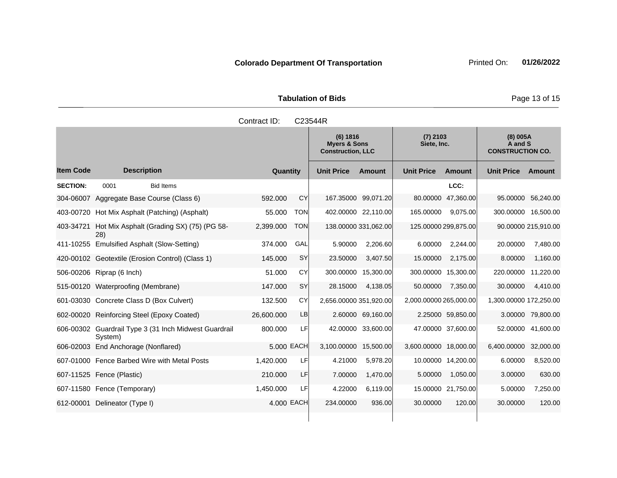Tabulation of Bids **Page 13 of 15** 

|                  |                                              |                                                       | Contract ID: |            | C23544R                                                         |                      |                           |                    |                                                |                     |
|------------------|----------------------------------------------|-------------------------------------------------------|--------------|------------|-----------------------------------------------------------------|----------------------|---------------------------|--------------------|------------------------------------------------|---------------------|
|                  |                                              |                                                       |              |            | (6) 1816<br><b>Myers &amp; Sons</b><br><b>Construction, LLC</b> |                      | $(7)$ 2103<br>Siete, Inc. |                    | (8) 005A<br>A and S<br><b>CONSTRUCTION CO.</b> |                     |
| <b>Item Code</b> | <b>Description</b>                           |                                                       | Quantity     |            | <b>Unit Price</b>                                               | <b>Amount</b>        | <b>Unit Price</b>         | Amount             | <b>Unit Price</b>                              | Amount              |
| <b>SECTION:</b>  | 0001                                         | <b>Bid Items</b>                                      |              |            |                                                                 |                      |                           | LCC:               |                                                |                     |
| 304-06007        | Aggregate Base Course (Class 6)              |                                                       | 592,000      | CY         |                                                                 | 167.35000 99,071.20  | 80.00000                  | 47,360.00          | 95.00000                                       | 56,240.00           |
| 403-00720        | Hot Mix Asphalt (Patching) (Asphalt)         |                                                       | 55.000       | <b>TON</b> |                                                                 | 402.00000 22,110.00  | 165.00000                 | 9,075.00           | 300.00000 16,500.00                            |                     |
| 403-34721        | 28)                                          | Hot Mix Asphalt (Grading SX) (75) (PG 58-             | 2,399.000    | <b>TON</b> |                                                                 | 138.00000 331,062.00 | 125.00000 299,875.00      |                    |                                                | 90.00000 215,910.00 |
|                  | 411-10255 Emulsified Asphalt (Slow-Setting)  |                                                       | 374.000      | GAL        | 5.90000                                                         | 2,206.60             | 6.00000                   | 2,244.00           | 20.00000                                       | 7,480.00            |
|                  |                                              | 420-00102 Geotextile (Erosion Control) (Class 1)      | 145.000      | <b>SY</b>  | 23.50000                                                        | 3,407.50             | 15.00000                  | 2,175.00           | 8.00000                                        | 1,160.00            |
|                  | 506-00206 Riprap (6 Inch)                    |                                                       | 51.000       | CY         | 300.00000                                                       | 15,300.00            | 300.00000 15,300.00       |                    | 220.00000                                      | 11,220.00           |
| 515-00120        | Waterproofing (Membrane)                     |                                                       | 147.000      | <b>SY</b>  | 28.15000                                                        | 4,138.05             | 50.00000                  | 7,350.00           | 30.00000                                       | 4,410.00            |
|                  | 601-03030 Concrete Class D (Box Culvert)     |                                                       | 132,500      | CY         | 2,656.00000 351,920.00                                          |                      | 2,000.00000 265,000.00    |                    | 1,300.00000 172,250.00                         |                     |
| 602-00020        | Reinforcing Steel (Epoxy Coated)             |                                                       | 26,600.000   | LB         |                                                                 | 2.60000 69,160.00    |                           | 2.25000 59,850.00  | 3.00000                                        | 79,800.00           |
|                  | System)                                      | 606-00302 Guardrail Type 3 (31 Inch Midwest Guardrail | 800.000      | LFI        | 42.00000                                                        | 33,600.00            |                           | 47.00000 37,600.00 | 52.00000                                       | 41,600.00           |
| 606-02003        | End Anchorage (Nonflared)                    |                                                       | 5,000 EACH   |            | 3,100.00000                                                     | 15,500.00            | 3,600.00000 18,000.00     |                    | 6,400.00000                                    | 32,000.00           |
|                  | 607-01000 Fence Barbed Wire with Metal Posts |                                                       | 1.420.000    | LF         | 4.21000                                                         | 5,978.20             |                           | 10.00000 14,200.00 | 6.00000                                        | 8,520.00            |
|                  | 607-11525 Fence (Plastic)                    |                                                       | 210.000      | LF         | 7.00000                                                         | 1,470.00             | 5.00000                   | 1,050.00           | 3.00000                                        | 630.00              |
|                  | 607-11580 Fence (Temporary)                  |                                                       | 1,450.000    | LFI        | 4.22000                                                         | 6,119.00             |                           | 15.00000 21,750.00 | 5.00000                                        | 7,250.00            |
| 612-00001        | Delineator (Type I)                          |                                                       | 4.000 EACH   |            | 234.00000                                                       | 936.00               | 30.00000                  | 120.00             | 30.00000                                       | 120.00              |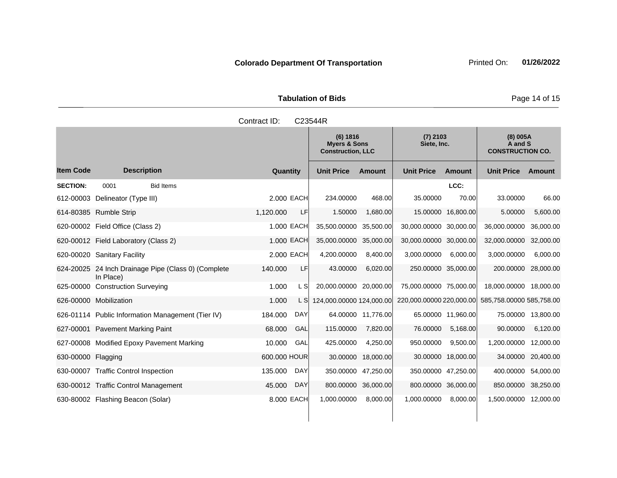Tabulation of Bids **Page 14 of 15** 

|                    |                                                                  | Contract ID: |            | C23544R                                                         |                    |                           |                    |                                                |           |
|--------------------|------------------------------------------------------------------|--------------|------------|-----------------------------------------------------------------|--------------------|---------------------------|--------------------|------------------------------------------------|-----------|
|                    |                                                                  |              |            | (6) 1816<br><b>Myers &amp; Sons</b><br><b>Construction, LLC</b> |                    | $(7)$ 2103<br>Siete, Inc. |                    | (8) 005A<br>A and S<br><b>CONSTRUCTION CO.</b> |           |
| <b>Item Code</b>   | <b>Description</b>                                               | Quantity     |            | <b>Unit Price</b>                                               | Amount             | <b>Unit Price</b>         | Amount             | <b>Unit Price</b>                              | Amount    |
| <b>SECTION:</b>    | 0001<br><b>Bid Items</b>                                         |              |            |                                                                 |                    |                           | LCC:               |                                                |           |
| 612-00003          | Delineator (Type III)                                            |              | 2,000 EACH | 234.00000                                                       | 468.00             | 35.00000                  | 70.00              | 33.00000                                       | 66.00     |
|                    | 614-80385 Rumble Strip                                           | 1,120.000    | LF         | 1.50000                                                         | 1,680.00           |                           | 15.00000 16,800.00 | 5.00000                                        | 5,600.00  |
|                    | 620-00002 Field Office (Class 2)                                 |              | 1.000 EACH | 35,500.00000                                                    | 35,500.00          | 30,000.00000 30,000.00    |                    | 36,000.00000                                   | 36,000.00 |
|                    | 620-00012 Field Laboratory (Class 2)                             |              | 1.000 EACH | 35,000.00000                                                    | 35,000.00          | 30,000.00000 30,000.00    |                    | 32,000.00000                                   | 32,000.00 |
|                    | 620-00020 Sanitary Facility                                      |              | 2.000 EACH | 4,200.00000                                                     | 8,400.00           | 3,000.00000               | 6,000.00           | 3,000.00000                                    | 6,000.00  |
|                    | 624-20025 24 Inch Drainage Pipe (Class 0) (Complete<br>In Place) | 140.000      | LF         | 43.00000                                                        | 6,020.00           | 250.00000 35,000.00       |                    | 200.00000 28,000.00                            |           |
|                    | 625-00000 Construction Surveying                                 | 1.000        | L S        | 20,000.00000 20,000.00                                          |                    | 75,000.00000 75,000.00    |                    | 18,000.00000 18,000.00                         |           |
|                    | 626-00000 Mobilization                                           | 1.000        | L SI       | 124,000.00000 124,000.00                                        |                    | 220,000.00000 220,000.00  |                    | 585,758.00000 585,758.00                       |           |
|                    | 626-01114 Public Information Management (Tier IV)                | 184.000      | <b>DAY</b> |                                                                 | 64.00000 11.776.00 |                           | 65.00000 11,960.00 | 75,00000                                       | 13,800.00 |
|                    | 627-00001 Pavement Marking Paint                                 | 68.000       | GAL        | 115.00000                                                       | 7,820.00           | 76.00000                  | 5,168.00           | 90.00000                                       | 6,120.00  |
|                    | 627-00008 Modified Epoxy Pavement Marking                        | 10.000       | GAL        | 425.00000                                                       | 4,250.00           | 950.00000                 | 9.500.00           | 1,200.00000                                    | 12,000.00 |
| 630-00000 Flagging |                                                                  | 600.000 HOUR |            | 30.00000                                                        | 18,000.00          |                           | 30.00000 18,000.00 | 34.00000                                       | 20,400.00 |
|                    | 630-00007 Traffic Control Inspection                             | 135.000      | <b>DAY</b> | 350.00000                                                       | 47,250.00          | 350.00000 47,250.00       |                    | 400.00000                                      | 54,000.00 |
|                    | 630-00012 Traffic Control Management                             | 45.000       | <b>DAY</b> | 800.00000                                                       | 36,000.00          | 800.00000                 | 36,000.00          | 850.00000                                      | 38,250.00 |
|                    | 630-80002 Flashing Beacon (Solar)                                |              | 8,000 EACH | 1,000.00000                                                     | 8,000.00           | 1,000.00000               | 8,000.00           | 1,500.00000 12,000.00                          |           |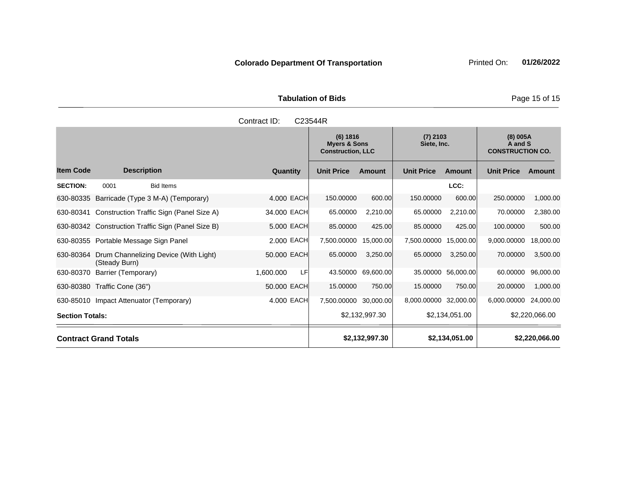Tabulation of Bids **Page 15 of 15** 

|                        |                                         |                                                    | Contract ID: | C23544R |                                                                 |                |                           |                    |                                                |                |
|------------------------|-----------------------------------------|----------------------------------------------------|--------------|---------|-----------------------------------------------------------------|----------------|---------------------------|--------------------|------------------------------------------------|----------------|
|                        |                                         |                                                    |              |         | (6) 1816<br><b>Myers &amp; Sons</b><br><b>Construction, LLC</b> |                | $(7)$ 2103<br>Siete, Inc. |                    | (8) 005A<br>A and S<br><b>CONSTRUCTION CO.</b> |                |
| <b>Item Code</b>       | <b>Description</b>                      |                                                    | Quantity     |         | <b>Unit Price</b>                                               | <b>Amount</b>  | <b>Unit Price</b>         | Amount             | <b>Unit Price</b>                              | <b>Amount</b>  |
| <b>SECTION:</b>        | 0001                                    | <b>Bid Items</b>                                   |              |         |                                                                 |                |                           | LCC:               |                                                |                |
| 630-80335              |                                         | Barricade (Type 3 M-A) (Temporary)                 | 4.000 EACH   |         | 150.00000                                                       | 600.00         | 150.00000                 | 600.00             | 250.00000                                      | 1,000.00       |
| 630-80341              |                                         | Construction Traffic Sign (Panel Size A)           | 34.000 EACH  |         | 65.00000                                                        | 2,210.00       | 65.00000                  | 2,210.00           | 70.00000                                       | 2,380.00       |
|                        |                                         | 630-80342 Construction Traffic Sign (Panel Size B) | 5.000 EACH   |         | 85.00000                                                        | 425.00         | 85.00000                  | 425.00             | 100.00000                                      | 500.00         |
|                        | 630-80355 Portable Message Sign Panel   |                                                    | 2.000 EACH   |         | 7,500.00000                                                     | 15,000.00      | 7,500.00000               | 15,000.00          | 9,000.00000                                    | 18,000.00      |
| 630-80364              | (Steady Burn)                           | Drum Channelizing Device (With Light)              | 50.000 EACH  |         | 65.00000                                                        | 3,250.00       | 65.00000                  | 3.250.00           | 70.00000                                       | 3,500.00       |
| 630-80370              | Barrier (Temporary)                     |                                                    | 1,600.000    | LF      | 43.50000                                                        | 69,600.00      |                           | 35.00000 56,000.00 | 60.00000                                       | 96,000.00      |
| 630-80380              | Traffic Cone (36")                      |                                                    | 50.000 EACH  |         | 15.00000                                                        | 750.00         | 15.00000                  | 750.00             | 20.00000                                       | 1,000.00       |
|                        | 630-85010 Impact Attenuator (Temporary) |                                                    | 4.000 EACH   |         | 7,500.00000                                                     | 30,000.00      | 8,000.00000 32,000.00     |                    | 6,000.00000                                    | 24,000.00      |
| <b>Section Totals:</b> |                                         |                                                    |              |         |                                                                 | \$2,132,997.30 |                           | \$2,134,051.00     |                                                | \$2,220,066.00 |
|                        | <b>Contract Grand Totals</b>            |                                                    |              |         |                                                                 | \$2,132,997.30 |                           | \$2,134,051.00     |                                                | \$2,220,066.00 |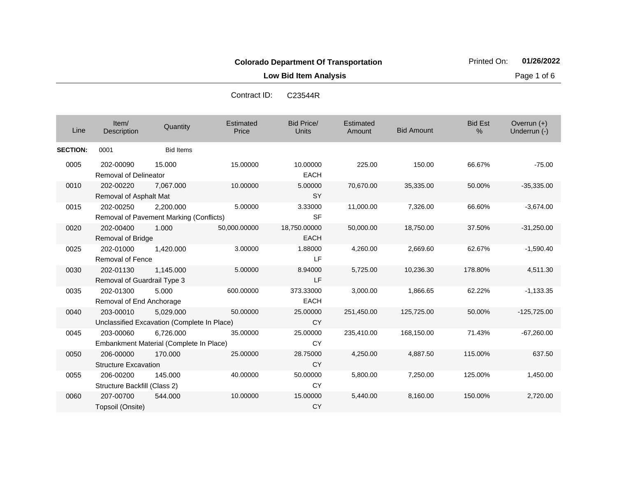**Low Bid Item Analysis Page 1 of 6** 

| Contract ID: | C23544R |
|--------------|---------|
|--------------|---------|

| Line            | Item/<br>Description                      | Quantity                                                 | Estimated<br>Price | <b>Bid Price/</b><br><b>Units</b> | Estimated<br>Amount | <b>Bid Amount</b> | <b>Bid Est</b><br>$\%$ | Overrun $(+)$<br>Underrun (-) |
|-----------------|-------------------------------------------|----------------------------------------------------------|--------------------|-----------------------------------|---------------------|-------------------|------------------------|-------------------------------|
| <b>SECTION:</b> | 0001                                      | <b>Bid Items</b>                                         |                    |                                   |                     |                   |                        |                               |
| 0005            | 202-00090<br><b>Removal of Delineator</b> | 15.000                                                   | 15.00000           | 10.00000<br><b>EACH</b>           | 225.00              | 150.00            | 66.67%                 | $-75.00$                      |
| 0010            | 202-00220<br>Removal of Asphalt Mat       | 7,067.000                                                | 10.00000           | 5.00000<br><b>SY</b>              | 70,670.00           | 35,335.00         | 50.00%                 | $-35,335.00$                  |
| 0015            | 202-00250                                 | 2,200.000<br>Removal of Pavement Marking (Conflicts)     | 5.00000            | 3.33000<br><b>SF</b>              | 11,000.00           | 7,326.00          | 66.60%                 | $-3,674.00$                   |
| 0020            | 202-00400<br>Removal of Bridge            | 1.000                                                    | 50,000.00000       | 18,750.00000<br><b>EACH</b>       | 50,000.00           | 18,750.00         | 37.50%                 | $-31,250.00$                  |
| 0025            | 202-01000<br><b>Removal of Fence</b>      | 1,420.000                                                | 3.00000            | 1.88000<br>LF                     | 4,260.00            | 2,669.60          | 62.67%                 | $-1,590.40$                   |
| 0030            | 202-01130<br>Removal of Guardrail Type 3  | 1,145.000                                                | 5.00000            | 8.94000<br>LF                     | 5,725.00            | 10,236.30         | 178.80%                | 4,511.30                      |
| 0035            | 202-01300<br>Removal of End Anchorage     | 5.000                                                    | 600.00000          | 373.33000<br><b>EACH</b>          | 3,000.00            | 1,866.65          | 62.22%                 | $-1,133.35$                   |
| 0040            | 203-00010                                 | 5,029.000<br>Unclassified Excavation (Complete In Place) | 50.00000           | 25.00000<br><b>CY</b>             | 251,450.00          | 125,725.00        | 50.00%                 | $-125,725.00$                 |
| 0045            | 203-00060                                 | 6,726.000<br>Embankment Material (Complete In Place)     | 35.00000           | 25.00000<br><b>CY</b>             | 235,410.00          | 168,150.00        | 71.43%                 | $-67,260.00$                  |
| 0050            | 206-00000<br><b>Structure Excavation</b>  | 170,000                                                  | 25.00000           | 28.75000<br><b>CY</b>             | 4,250.00            | 4,887.50          | 115.00%                | 637.50                        |
| 0055            | 206-00200<br>Structure Backfill (Class 2) | 145.000                                                  | 40.00000           | 50.00000<br><b>CY</b>             | 5,800.00            | 7,250.00          | 125.00%                | 1,450.00                      |
| 0060            | 207-00700<br>Topsoil (Onsite)             | 544.000                                                  | 10.00000           | 15.00000<br><b>CY</b>             | 5,440.00            | 8,160.00          | 150.00%                | 2,720.00                      |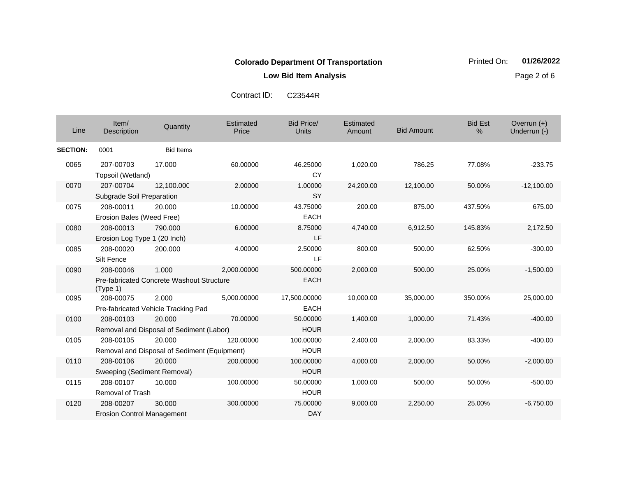**Low Bid Item Analysis Page 2 of 6** 

| Line            | Item/<br>Description                           | Quantity                                               | Estimated<br>Price | <b>Bid Price/</b><br><b>Units</b> | Estimated<br>Amount | <b>Bid Amount</b> | <b>Bid Est</b><br>% | Overrun $(+)$<br>Underrun (-) |
|-----------------|------------------------------------------------|--------------------------------------------------------|--------------------|-----------------------------------|---------------------|-------------------|---------------------|-------------------------------|
| <b>SECTION:</b> | 0001                                           | <b>Bid Items</b>                                       |                    |                                   |                     |                   |                     |                               |
| 0065            | 207-00703<br>Topsoil (Wetland)                 | 17.000                                                 | 60.00000           | 46.25000<br><b>CY</b>             | 1,020.00            | 786.25            | 77.08%              | $-233.75$                     |
| 0070            | 207-00704<br>Subgrade Soil Preparation         | 12,100.000                                             | 2.00000            | 1.00000<br><b>SY</b>              | 24,200.00           | 12,100.00         | 50.00%              | $-12,100.00$                  |
| 0075            | 208-00011<br>Erosion Bales (Weed Free)         | 20,000                                                 | 10.00000           | 43.75000<br><b>EACH</b>           | 200.00              | 875.00            | 437.50%             | 675.00                        |
| 0080            | 208-00013<br>Erosion Log Type 1 (20 Inch)      | 790.000                                                | 6.00000            | 8.75000<br>LF                     | 4,740.00            | 6,912.50          | 145.83%             | 2,172.50                      |
| 0085            | 208-00020<br>Silt Fence                        | 200.000                                                | 4.00000            | 2.50000<br>LF                     | 800.00              | 500.00            | 62.50%              | $-300.00$                     |
| 0090            | 208-00046<br>(Type 1)                          | 1.000<br>Pre-fabricated Concrete Washout Structure     | 2,000.00000        | 500.00000<br><b>EACH</b>          | 2,000.00            | 500.00            | 25.00%              | $-1,500.00$                   |
| 0095            | 208-00075                                      | 2.000<br>Pre-fabricated Vehicle Tracking Pad           | 5,000.00000        | 17,500.00000<br><b>EACH</b>       | 10,000.00           | 35,000.00         | 350.00%             | 25,000.00                     |
| 0100            | 208-00103                                      | 20.000<br>Removal and Disposal of Sediment (Labor)     | 70.00000           | 50.00000<br><b>HOUR</b>           | 1,400.00            | 1,000.00          | 71.43%              | $-400.00$                     |
| 0105            | 208-00105                                      | 20,000<br>Removal and Disposal of Sediment (Equipment) | 120.00000          | 100.00000<br><b>HOUR</b>          | 2,400.00            | 2,000.00          | 83.33%              | $-400.00$                     |
| 0110            | 208-00106<br>Sweeping (Sediment Removal)       | 20,000                                                 | 200.00000          | 100.00000<br><b>HOUR</b>          | 4,000.00            | 2,000.00          | 50.00%              | $-2,000.00$                   |
| 0115            | 208-00107<br>Removal of Trash                  | 10.000                                                 | 100.00000          | 50.00000<br><b>HOUR</b>           | 1,000.00            | 500.00            | 50.00%              | $-500.00$                     |
| 0120            | 208-00207<br><b>Erosion Control Management</b> | 30.000                                                 | 300.00000          | 75.00000<br><b>DAY</b>            | 9,000.00            | 2,250.00          | 25.00%              | $-6,750.00$                   |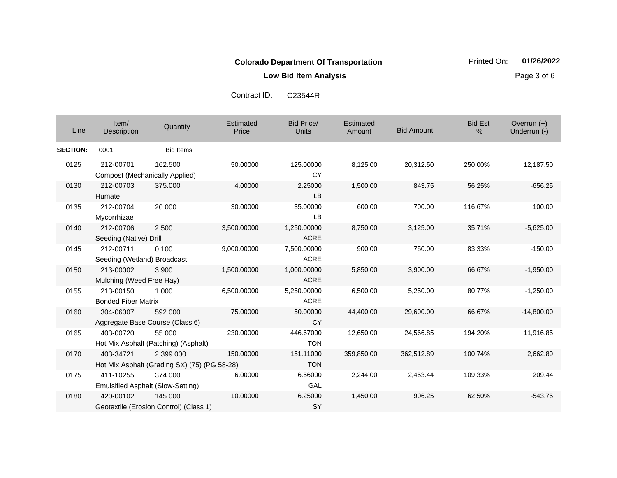**Low Bid Item Analysis Page 3 of 6** 

| Line            | Item/<br>Description                               | Quantity                                                  | Estimated<br>Price | <b>Bid Price/</b><br><b>Units</b> | Estimated<br>Amount | <b>Bid Amount</b> | <b>Bid Est</b><br>% | Overrun $(+)$<br>Underrun (-) |
|-----------------|----------------------------------------------------|-----------------------------------------------------------|--------------------|-----------------------------------|---------------------|-------------------|---------------------|-------------------------------|
| <b>SECTION:</b> | 0001                                               | <b>Bid Items</b>                                          |                    |                                   |                     |                   |                     |                               |
| 0125            | 212-00701<br><b>Compost (Mechanically Applied)</b> | 162.500                                                   | 50.00000           | 125.00000<br>CY                   | 8,125.00            | 20,312.50         | 250.00%             | 12,187.50                     |
| 0130            | 212-00703<br>Humate                                | 375.000                                                   | 4.00000            | 2.25000<br>LB                     | 1,500.00            | 843.75            | 56.25%              | $-656.25$                     |
| 0135            | 212-00704<br>Mycorrhizae                           | 20.000                                                    | 30.00000           | 35.00000<br><b>LB</b>             | 600.00              | 700.00            | 116.67%             | 100.00                        |
| 0140            | 212-00706<br>Seeding (Native) Drill                | 2.500                                                     | 3,500.00000        | 1,250.00000<br><b>ACRE</b>        | 8,750.00            | 3,125.00          | 35.71%              | $-5,625.00$                   |
| 0145            | 212-00711<br>Seeding (Wetland) Broadcast           | 0.100                                                     | 9,000.00000        | 7,500.00000<br><b>ACRE</b>        | 900.00              | 750.00            | 83.33%              | $-150.00$                     |
| 0150            | 213-00002<br>Mulching (Weed Free Hay)              | 3.900                                                     | 1,500.00000        | 1,000.00000<br><b>ACRE</b>        | 5,850.00            | 3,900.00          | 66.67%              | $-1,950.00$                   |
| 0155            | 213-00150<br><b>Bonded Fiber Matrix</b>            | 1.000                                                     | 6,500.00000        | 5,250.00000<br><b>ACRE</b>        | 6,500.00            | 5,250.00          | 80.77%              | $-1,250.00$                   |
| 0160            | 304-06007                                          | 592.000<br>Aggregate Base Course (Class 6)                | 75.00000           | 50.00000<br><b>CY</b>             | 44,400.00           | 29,600.00         | 66.67%              | $-14,800.00$                  |
| 0165            | 403-00720                                          | 55.000<br>Hot Mix Asphalt (Patching) (Asphalt)            | 230.00000          | 446.67000<br><b>TON</b>           | 12,650.00           | 24,566.85         | 194.20%             | 11,916.85                     |
| 0170            | 403-34721                                          | 2,399.000<br>Hot Mix Asphalt (Grading SX) (75) (PG 58-28) | 150.00000          | 151.11000<br><b>TON</b>           | 359,850.00          | 362,512.89        | 100.74%             | 2,662.89                      |
| 0175            | 411-10255                                          | 374.000<br>Emulsified Asphalt (Slow-Setting)              | 6.00000            | 6.56000<br>GAL                    | 2,244.00            | 2,453.44          | 109.33%             | 209.44                        |
| 0180            | 420-00102                                          | 145.000<br>Geotextile (Erosion Control) (Class 1)         | 10.00000           | 6.25000<br>SY                     | 1,450.00            | 906.25            | 62.50%              | $-543.75$                     |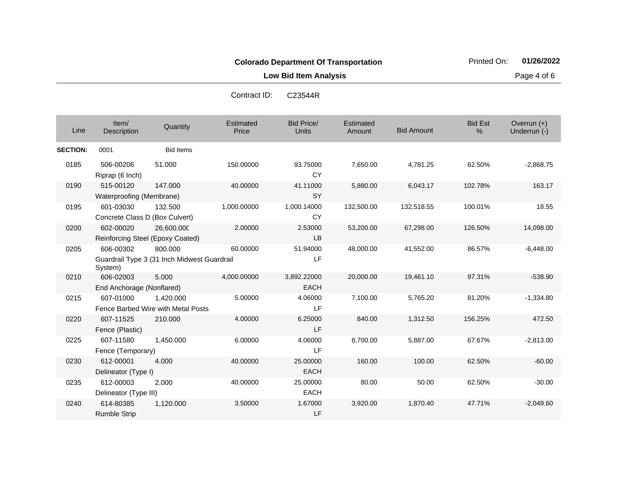**Low Bid Item Analysis Page 4 of 6** 

| Line            | Item/<br>Description                          | Quantity                                               | Estimated<br>Price | <b>Bid Price/</b><br><b>Units</b> | Estimated<br>Amount | <b>Bid Amount</b> | <b>Bid Est</b><br>% | Overrun (+)<br>Underrun (-) |
|-----------------|-----------------------------------------------|--------------------------------------------------------|--------------------|-----------------------------------|---------------------|-------------------|---------------------|-----------------------------|
| <b>SECTION:</b> | 0001                                          | <b>Bid Items</b>                                       |                    |                                   |                     |                   |                     |                             |
| 0185            | 506-00206<br>Riprap (6 Inch)                  | 51.000                                                 | 150.00000          | 93.75000<br><b>CY</b>             | 7,650.00            | 4,781.25          | 62.50%              | $-2,868.75$                 |
| 0190            | 515-00120<br>Waterproofing (Membrane)         | 147.000                                                | 40.00000           | 41.11000<br><b>SY</b>             | 5,880.00            | 6,043.17          | 102.78%             | 163.17                      |
| 0195            | 601-03030<br>Concrete Class D (Box Culvert)   | 132.500                                                | 1,000.00000        | 1,000.14000<br><b>CY</b>          | 132,500.00          | 132,518.55        | 100.01%             | 18.55                       |
| 0200            | 602-00020<br>Reinforcing Steel (Epoxy Coated) | 26,600.000                                             | 2.00000            | 2.53000<br><b>LB</b>              | 53,200.00           | 67,298.00         | 126.50%             | 14,098.00                   |
| 0205            | 606-00302<br>System)                          | 800.000<br>Guardrail Type 3 (31 Inch Midwest Guardrail | 60.00000           | 51.94000<br>LF                    | 48,000.00           | 41,552.00         | 86.57%              | $-6,448.00$                 |
| 0210            | 606-02003<br>End Anchorage (Nonflared)        | 5.000                                                  | 4,000.00000        | 3,892.22000<br><b>EACH</b>        | 20,000.00           | 19,461.10         | 97.31%              | $-538.90$                   |
| 0215            | 607-01000                                     | 1,420.000<br>Fence Barbed Wire with Metal Posts        | 5.00000            | 4.06000<br>LF                     | 7,100.00            | 5,765.20          | 81.20%              | $-1,334.80$                 |
| 0220            | 607-11525<br>Fence (Plastic)                  | 210.000                                                | 4.00000            | 6.25000<br>LF                     | 840.00              | 1,312.50          | 156.25%             | 472.50                      |
| 0225            | 607-11580<br>Fence (Temporary)                | 1,450.000                                              | 6.00000            | 4.06000<br>LF                     | 8,700.00            | 5,887.00          | 67.67%              | $-2,813.00$                 |
| 0230            | 612-00001<br>Delineator (Type I)              | 4.000                                                  | 40.00000           | 25.00000<br><b>EACH</b>           | 160.00              | 100.00            | 62.50%              | $-60.00$                    |
| 0235            | 612-00003<br>Delineator (Type III)            | 2.000                                                  | 40.00000           | 25.00000<br><b>EACH</b>           | 80.00               | 50.00             | 62.50%              | $-30.00$                    |
| 0240            | 614-80385<br><b>Rumble Strip</b>              | 1,120.000                                              | 3.50000            | 1.67000<br>LF                     | 3,920.00            | 1,870.40          | 47.71%              | $-2,049.60$                 |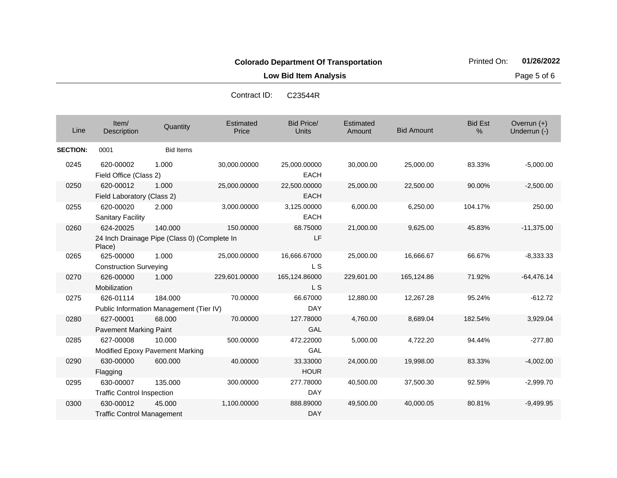**Low Bid Item Analysis Page 5 of 6** 

| Contract ID: | C23544R |
|--------------|---------|
|--------------|---------|

| Line            | Item/<br>Description                                                | Quantity         | Estimated<br>Price | <b>Bid Price/</b><br>Units  | Estimated<br>Amount | <b>Bid Amount</b> | <b>Bid Est</b><br>% | Overrun $(+)$<br>Underrun (-) |
|-----------------|---------------------------------------------------------------------|------------------|--------------------|-----------------------------|---------------------|-------------------|---------------------|-------------------------------|
| <b>SECTION:</b> | 0001                                                                | <b>Bid Items</b> |                    |                             |                     |                   |                     |                               |
| 0245            | 620-00002<br>Field Office (Class 2)                                 | 1.000            | 30,000.00000       | 25,000.00000<br><b>EACH</b> | 30,000.00           | 25,000.00         | 83.33%              | $-5,000.00$                   |
| 0250            | 620-00012<br>Field Laboratory (Class 2)                             | 1.000            | 25,000.00000       | 22,500.00000<br><b>EACH</b> | 25,000.00           | 22,500.00         | 90.00%              | $-2,500.00$                   |
| 0255            | 620-00020<br><b>Sanitary Facility</b>                               | 2.000            | 3,000.00000        | 3,125.00000<br><b>EACH</b>  | 6,000.00            | 6,250.00          | 104.17%             | 250.00                        |
| 0260            | 624-20025<br>24 Inch Drainage Pipe (Class 0) (Complete In<br>Place) | 140.000          | 150.00000          | 68.75000<br>LF              | 21,000.00           | 9,625.00          | 45.83%              | $-11,375.00$                  |
| 0265            | 625-00000<br><b>Construction Surveying</b>                          | 1.000            | 25,000.00000       | 16,666.67000<br>L S         | 25,000.00           | 16,666.67         | 66.67%              | $-8,333.33$                   |
| 0270            | 626-00000<br>Mobilization                                           | 1.000            | 229,601.00000      | 165,124.86000<br><b>LS</b>  | 229,601.00          | 165,124.86        | 71.92%              | $-64,476.14$                  |
| 0275            | 626-01114<br>Public Information Management (Tier IV)                | 184.000          | 70.00000           | 66.67000<br><b>DAY</b>      | 12,880.00           | 12,267.28         | 95.24%              | $-612.72$                     |
| 0280            | 627-00001<br><b>Pavement Marking Paint</b>                          | 68.000           | 70.00000           | 127.78000<br>GAL            | 4,760.00            | 8,689.04          | 182.54%             | 3,929.04                      |
| 0285            | 627-00008<br>Modified Epoxy Pavement Marking                        | 10.000           | 500.00000          | 472.22000<br>GAL            | 5,000.00            | 4,722.20          | 94.44%              | $-277.80$                     |
| 0290            | 630-00000<br>Flagging                                               | 600.000          | 40.00000           | 33.33000<br><b>HOUR</b>     | 24,000.00           | 19,998.00         | 83.33%              | $-4,002.00$                   |
| 0295            | 630-00007<br><b>Traffic Control Inspection</b>                      | 135.000          | 300.00000          | 277.78000<br><b>DAY</b>     | 40,500.00           | 37,500.30         | 92.59%              | $-2,999.70$                   |
| 0300            | 630-00012<br><b>Traffic Control Management</b>                      | 45.000           | 1,100.00000        | 888.89000<br><b>DAY</b>     | 49,500.00           | 40,000.05         | 80.81%              | $-9,499.95$                   |